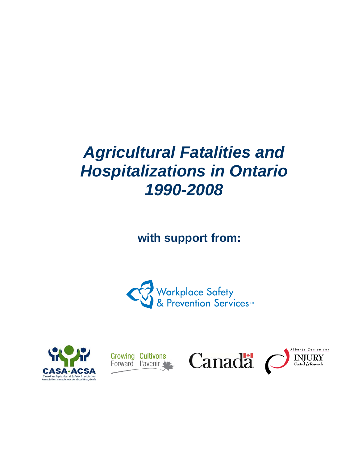# *Agricultural Fatalities and Hospitalizations in Ontario 1990-2008*

**with support from:** 









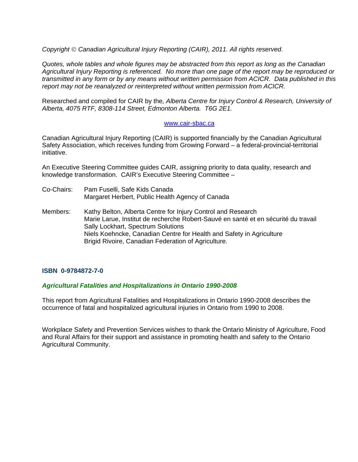*Copyright Canadian Agricultural Injury Reporting (CAIR), 2011. All rights reserved.* 

*Quotes, whole tables and whole figures may be abstracted from this report as long as the Canadian Agricultural Injury Reporting is referenced. No more than one page of the report may be reproduced or transmitted in any form or by any means without written permission from ACICR. Data published in this report may not be reanalyzed or reinterpreted without written permission from ACICR.* 

Researched and compiled for CAIR by the*, Alberta Centre for Injury Control & Research, University of Alberta, 4075 RTF, 8308-114 Street, Edmonton Alberta. T6G 2E1.* 

#### www.cair-sbac.ca

Canadian Agricultural Injury Reporting (CAIR) is supported financially by the Canadian Agricultural Safety Association, which receives funding from Growing Forward – a federal-provincial-territorial initiative.

An Executive Steering Committee guides CAIR, assigning priority to data quality, research and knowledge transformation. CAIR's Executive Steering Committee –

- Co-Chairs: Pam Fuselli, Safe Kids Canada Margaret Herbert, Public Health Agency of Canada
- Members: Kathy Belton, Alberta Centre for Injury Control and Research Marie Larue, Institut de recherche Robert-Sauvé en santé et en sécurité du travail Sally Lockhart, Spectrum Solutions Niels Koehncke, Canadian Centre for Health and Safety in Agriculture Brigid Rivoire, Canadian Federation of Agriculture.

# **ISBN 0-9784872-7-0**

# *Agricultural Fatalities and Hospitalizations in Ontario 1990-2008*

This report from Agricultural Fatalities and Hospitalizations in Ontario 1990-2008 describes the occurrence of fatal and hospitalized agricultural injuries in Ontario from 1990 to 2008.

Workplace Safety and Prevention Services wishes to thank the Ontario Ministry of Agriculture, Food and Rural Affairs for their support and assistance in promoting health and safety to the Ontario Agricultural Community.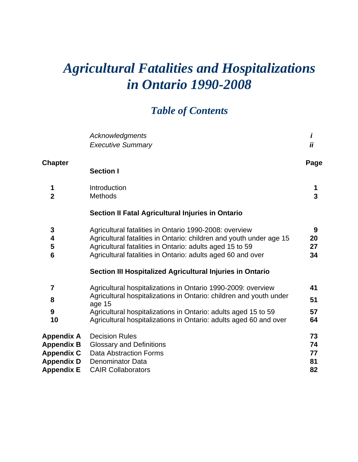# *Agricultural Fatalities and Hospitalizations in Ontario 1990-2008*

# *Table of Contents*

|                                                                                         | <b>Acknowledgments</b><br><b>Executive Summary</b>                                                                                                                                                                                                                                  | i<br>ii                    |
|-----------------------------------------------------------------------------------------|-------------------------------------------------------------------------------------------------------------------------------------------------------------------------------------------------------------------------------------------------------------------------------------|----------------------------|
| <b>Chapter</b>                                                                          | <b>Section I</b>                                                                                                                                                                                                                                                                    | Page                       |
| 1<br>$\overline{2}$                                                                     | Introduction<br><b>Methods</b>                                                                                                                                                                                                                                                      | 1<br>$\overline{3}$        |
|                                                                                         | Section II Fatal Agricultural Injuries in Ontario                                                                                                                                                                                                                                   |                            |
| 3<br>4<br>5<br>6                                                                        | Agricultural fatalities in Ontario 1990-2008: overview<br>Agricultural fatalities in Ontario: children and youth under age 15<br>Agricultural fatalities in Ontario: adults aged 15 to 59<br>Agricultural fatalities in Ontario: adults aged 60 and over                            | 9<br>20<br>27<br>34        |
|                                                                                         | Section III Hospitalized Agricultural Injuries in Ontario                                                                                                                                                                                                                           |                            |
| 7<br>8<br>9<br>10                                                                       | Agricultural hospitalizations in Ontario 1990-2009: overview<br>Agricultural hospitalizations in Ontario: children and youth under<br>age 15<br>Agricultural hospitalizations in Ontario: adults aged 15 to 59<br>Agricultural hospitalizations in Ontario: adults aged 60 and over | 41<br>51<br>57<br>64       |
| Appendix A<br><b>Appendix B</b><br><b>Appendix C</b><br><b>Appendix D</b><br>Appendix E | <b>Decision Rules</b><br><b>Glossary and Definitions</b><br><b>Data Abstraction Forms</b><br><b>Denominator Data</b><br><b>CAIR Collaborators</b>                                                                                                                                   | 73<br>74<br>77<br>81<br>82 |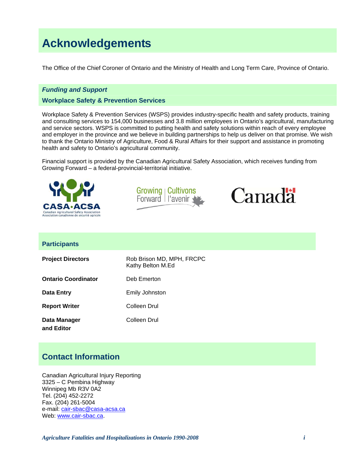# **Acknowledgements**

The Office of the Chief Coroner of Ontario and the Ministry of Health and Long Term Care, Province of Ontario.

#### *Funding and Support*

#### **Workplace Safety & Prevention Services**

Workplace Safety & Prevention Services (WSPS) provides industry-specific health and safety products, training and consulting services to 154,000 businesses and 3.8 million employees in Ontario's agricultural, manufacturing and service sectors. WSPS is committed to putting health and safety solutions within reach of every employee and employer in the province and we believe in building partnerships to help us deliver on that promise. We wish to thank the Ontario Ministry of Agriculture, Food & Rural Affairs for their support and assistance in promoting health and safety to Ontario's agricultural community.

Financial support is provided by the Canadian Agricultural Safety Association, which receives funding from Growing Forward – a federal-provincial-territorial initiative.







#### **Participants**

| <b>Project Directors</b>   | Rob Brison MD, MPH, FRCPC<br>Kathy Belton M.Ed |
|----------------------------|------------------------------------------------|
| <b>Ontario Coordinator</b> | Deb Emerton                                    |
| Data Entry                 | Emily Johnston                                 |
| <b>Report Writer</b>       | Colleen Drul                                   |
| Data Manager<br>and Editor | Colleen Drul                                   |

# **Contact Information**

Canadian Agricultural Injury Reporting 3325 – C Pembina Highway Winnipeg Mb R3V 0A2 Tel. (204) 452-2272 Fax. (204) 261-5004 e-mail: cair-sbac@casa-acsa.ca Web: www.cair-sbac.ca.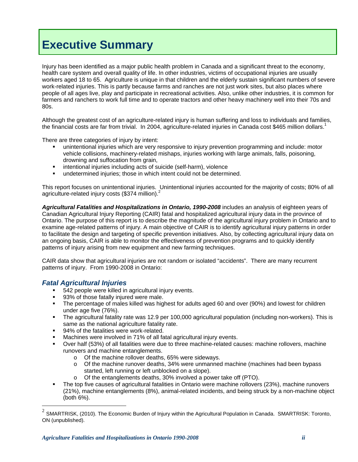# **Executive Summary**

Injury has been identified as a major public health problem in Canada and a significant threat to the economy, health care system and overall quality of life. In other industries, victims of occupational injuries are usually workers aged 18 to 65. Agriculture is unique in that children and the elderly sustain significant numbers of severe work-related injuries. This is partly because farms and ranches are not just work sites, but also places where people of all ages live, play and participate in recreational activities. Also, unlike other industries, it is common for farmers and ranchers to work full time and to operate tractors and other heavy machinery well into their 70s and 80s.

Although the greatest cost of an agriculture-related injury is human suffering and loss to individuals and families, the financial costs are far from trivial. In 2004, agriculture-related injuries in Canada cost \$465 million dollars.<sup>1</sup>

There are three categories of injury by intent:

- unintentional injuries which are very responsive to injury prevention programming and include: motor vehicle collisions, machinery-related mishaps, injuries working with large animals, falls, poisoning, drowning and suffocation from grain,
- **•** intentional injuries including acts of suicide (self-harm), violence
- undetermined injuries; those in which intent could not be determined.

This report focuses on unintentional injuries. Unintentional injuries accounted for the majority of costs; 80% of all agriculture-related injury costs (\$374 million).<sup>2</sup>

*Agricultural Fatalities and Hospitalizations in Ontario, 1990-2008* includes an analysis of eighteen years of Canadian Agricultural Injury Reporting (CAIR) fatal and hospitalized agricultural injury data in the province of Ontario. The purpose of this report is to describe the magnitude of the agricultural injury problem in Ontario and to examine age-related patterns of injury. A main objective of CAIR is to identify agricultural injury patterns in order to facilitate the design and targeting of specific prevention initiatives. Also, by collecting agricultural injury data on an ongoing basis, CAIR is able to monitor the effectiveness of prevention programs and to quickly identify patterns of injury arising from new equipment and new farming techniques.

CAIR data show that agricultural injuries are not random or isolated "accidents". There are many recurrent patterns of injury. From 1990-2008 in Ontario:

# *Fatal Agricultural Injuries*

 $\overline{a}$ 

- 542 people were killed in agricultural injury events.
- 93% of those fatally injured were male.
- The percentage of males killed was highest for adults aged 60 and over (90%) and lowest for children under age five (76%).
- The agricultural fatality rate was 12.9 per 100,000 agricultural population (including non-workers). This is same as the national agriculture fatality rate.
- 94% of the fatalities were work-related.
- Machines were involved in 71% of all fatal agricultural injury events.
- Over half (53%) of all fatalities were due to three machine-related causes: machine rollovers, machine runovers and machine entanglements.
	- o Of the machine rollover deaths, 65% were sideways.
	- $\circ$  Of the machine runover deaths, 34% were unmanned machine (machines had been bypass started, left running or left unblocked on a slope).
	- o Of the entanglements deaths, 30% involved a power take off (PTO).
- The top five causes of agricultural fatalities in Ontario were machine rollovers (23%), machine runovers (21%), machine entanglements (8%), animal-related incidents, and being struck by a non-machine object (both 6%).

 $^2$  SMARTRISK, (2010). The Economic Burden of Injury within the Agricultural Population in Canada. SMARTRISK: Toronto, ON (unpublished).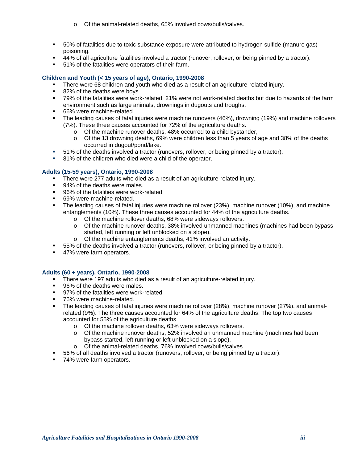- o Of the animal-related deaths, 65% involved cows/bulls/calves.
- 50% of fatalities due to toxic substance exposure were attributed to hydrogen sulfide (manure gas) poisoning.
- 44% of all agriculture fatalities involved a tractor (runover, rollover, or being pinned by a tractor).
- 51% of the fatalities were operators of their farm.

#### **Children and Youth (< 15 years of age), Ontario, 1990-2008**

- There were 68 children and youth who died as a result of an agriculture-related injury.
- 82% of the deaths were boys.
- 79% of the fatalities were work-related, 21% were not work-related deaths but due to hazards of the farm environment such as large animals, drownings in dugouts and troughs.
- 66% were machine-related.
- The leading causes of fatal injuries were machine runovers (46%), drowning (19%) and machine rollovers (7%). These three causes accounted for 72% of the agriculture deaths.
	- o Of the machine runover deaths, 48% occurred to a child bystander,
	- o Of the 13 drowning deaths, 69% were children less than 5 years of age and 38% of the deaths occurred in dugout/pond/lake.
- 51% of the deaths involved a tractor (runovers, rollover, or being pinned by a tractor).
- 81% of the children who died were a child of the operator.

#### **Adults (15-59 years), Ontario, 1990-2008**

- There were 277 adults who died as a result of an agriculture-related injury.
- 94% of the deaths were males.
- 96% of the fatalities were work-related.
- 69% were machine-related.
- The leading causes of fatal injuries were machine rollover (23%), machine runover (10%), and machine entanglements (10%). These three causes accounted for 44% of the agriculture deaths.
	- o Of the machine rollover deaths, 68% were sideways rollovers.
	- o Of the machine runover deaths, 38% involved unmanned machines (machines had been bypass started, left running or left unblocked on a slope).
	- o Of the machine entanglements deaths, 41% involved an activity.
- 55% of the deaths involved a tractor (runovers, rollover, or being pinned by a tractor).
- 47% were farm operators.

#### **Adults (60 + years), Ontario, 1990-2008**

- There were 197 adults who died as a result of an agriculture-related injury.
- 96% of the deaths were males.
- 97% of the fatalities were work-related.
- 76% were machine-related.
- The leading causes of fatal injuries were machine rollover (28%), machine runover (27%), and animalrelated (9%). The three causes accounted for 64% of the agriculture deaths. The top two causes accounted for 55% of the agriculture deaths.
	- o Of the machine rollover deaths, 63% were sideways rollovers.
	- o Of the machine runover deaths, 52% involved an unmanned machine (machines had been bypass started, left running or left unblocked on a slope).
	- o Of the animal-related deaths, 76% involved cows/bulls/calves.
- 56% of all deaths involved a tractor (runovers, rollover, or being pinned by a tractor).
- 74% were farm operators.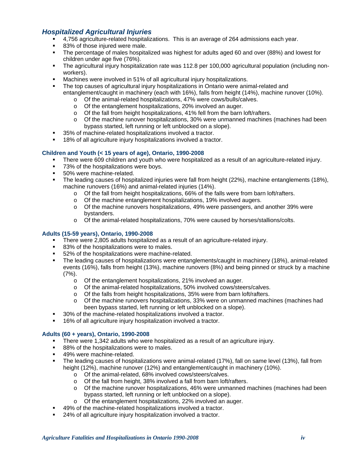# *Hospitalized Agricultural Injuries*

- 4,756 agriculture-related hospitalizations. This is an average of 264 admissions each year.
- 83% of those injured were male.
- The percentage of males hospitalized was highest for adults aged 60 and over (88%) and lowest for children under age five (76%).
- The agricultural injury hospitalization rate was 112.8 per 100,000 agricultural population (including nonworkers).
- Machines were involved in 51% of all agricultural injury hospitalizations.
- The top causes of agricultural injury hospitalizations in Ontario were animal-related and entanglement/caught in machinery (each with 16%), falls from height (14%), machine runover (10%).
	- o Of the animal-related hospitalizations, 47% were cows/bulls/calves.
	- o Of the entanglement hospitalizations, 20% involved an auger.
	- o Of the fall from height hospitalizations, 41% fell from the barn loft/rafters.
	- o Of the machine runover hospitalizations, 30% were unmanned machines (machines had been bypass started, left running or left unblocked on a slope).
- 35% of machine-related hospitalizations involved a tractor.
- 18% of all agriculture injury hospitalizations involved a tractor.

#### **Children and Youth (< 15 years of age), Ontario, 1990-2008**

- There were 609 children and youth who were hospitalized as a result of an agriculture-related injury.
- 73% of the hospitalizations were boys.
- **50%** were machine-related.
- The leading causes of hospitalized injuries were fall from height (22%), machine entanglements (18%), machine runovers (16%) and animal-related injuries (14%).
	- $\circ$  Of the fall from height hospitalizations, 66% of the falls were from barn loft/rafters.
	- o Of the machine entanglement hospitalizations, 19% involved augers.
	- o Of the machine runovers hospitalizations, 49% were passengers, and another 39% were bystanders.
	- o Of the animal-related hospitalizations, 70% were caused by horses/stallions/colts.

#### **Adults (15-59 years), Ontario, 1990-2008**

- There were 2,805 adults hospitalized as a result of an agriculture-related injury.
- 83% of the hospitalizations were to males.
- 52% of the hospitalizations were machine-related.
- The leading causes of hospitalizations were entanglements/caught in machinery (18%), animal-related events (16%), falls from height (13%), machine runovers (8%) and being pinned or struck by a machine (7%).
	- o Of the entanglement hospitalizations, 21% involved an auger.
	- o Of the animal-related hospitalizations, 50% involved cows/steers/calves.
	- o Of the falls from height hospitalizations, 35% were from barn loft/rafters.
	- o Of the machine runovers hospitalizations, 33% were on unmanned machines (machines had been bypass started, left running or left unblocked on a slope).
- 30% of the machine-related hospitalizations involved a tractor.
- 16% of all agriculture injury hospitalization involved a tractor.

#### **Adults (60 + years), Ontario, 1990-2008**

- There were 1,342 adults who were hospitalized as a result of an agriculture injury.
- 88% of the hospitalizations were to males.
- 49% were machine-related.
- The leading causes of hospitalizations were animal-related (17%), fall on same level (13%), fall from height (12%), machine runover (12%) and entanglement/caught in machinery (10%).
	- o Of the animal-related, 68% involved cows/steers/calves.
	- o Of the fall from height, 38% involved a fall from barn loft/rafters.
	- o Of the machine runover hospitalizations, 46% were unmanned machines (machines had been bypass started, left running or left unblocked on a slope).
	- o Of the entanglement hospitalizations, 22% involved an auger.
- 49% of the machine-related hospitalizations involved a tractor.
- 24% of all agriculture injury hospitalization involved a tractor.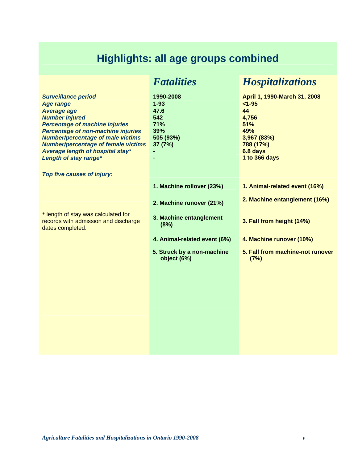# **Highlights: all age groups combined**

|                                                                                                                                                                                                                                                                                                                                            | <b>Fatalities</b>                                                          | <b>Hospitalizations</b>                                                                                                          |
|--------------------------------------------------------------------------------------------------------------------------------------------------------------------------------------------------------------------------------------------------------------------------------------------------------------------------------------------|----------------------------------------------------------------------------|----------------------------------------------------------------------------------------------------------------------------------|
| <b>Surveillance period</b><br><b>Age range</b><br><b>Average age</b><br><b>Number injured</b><br><b>Percentage of machine injuries</b><br><b>Percentage of non-machine injuries</b><br><b>Number/percentage of male victims</b><br><b>Number/percentage of female victims</b><br>Average length of hospital stay*<br>Length of stay range* | 1990-2008<br>$1 - 93$<br>47.6<br>542<br>71%<br>39%<br>505 (93%)<br>37 (7%) | April 1, 1990-March 31, 2008<br>$< 1 - 95$<br>44<br>4,756<br>51%<br>49%<br>3,967 (83%)<br>788 (17%)<br>6.8 days<br>1 to 366 days |
| Top five causes of injury:                                                                                                                                                                                                                                                                                                                 |                                                                            |                                                                                                                                  |
|                                                                                                                                                                                                                                                                                                                                            | 1. Machine rollover (23%)                                                  | 1. Animal-related event (16%)                                                                                                    |
|                                                                                                                                                                                                                                                                                                                                            | 2. Machine runover (21%)                                                   | 2. Machine entanglement (16%)                                                                                                    |
| * length of stay was calculated for<br>records with admission and discharge<br>dates completed.                                                                                                                                                                                                                                            | 3. Machine entanglement<br>(8%)                                            | 3. Fall from height (14%)                                                                                                        |
|                                                                                                                                                                                                                                                                                                                                            | 4. Animal-related event (6%)                                               | 4. Machine runover (10%)                                                                                                         |
|                                                                                                                                                                                                                                                                                                                                            | 5. Struck by a non-machine<br>object (6%)                                  | 5. Fall from machine-not runover<br>(7%)                                                                                         |
|                                                                                                                                                                                                                                                                                                                                            |                                                                            |                                                                                                                                  |
|                                                                                                                                                                                                                                                                                                                                            |                                                                            |                                                                                                                                  |
|                                                                                                                                                                                                                                                                                                                                            |                                                                            |                                                                                                                                  |
|                                                                                                                                                                                                                                                                                                                                            |                                                                            |                                                                                                                                  |
|                                                                                                                                                                                                                                                                                                                                            |                                                                            |                                                                                                                                  |
|                                                                                                                                                                                                                                                                                                                                            |                                                                            |                                                                                                                                  |
|                                                                                                                                                                                                                                                                                                                                            |                                                                            |                                                                                                                                  |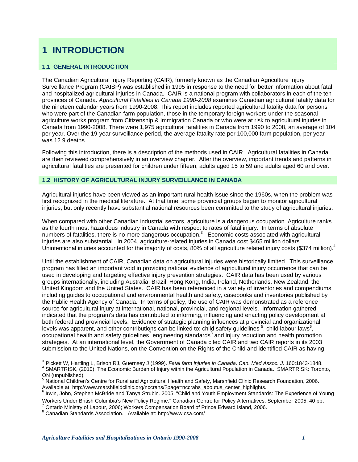# **1 INTRODUCTION**

## **1.1 GENERAL INTRODUCTION**

The Canadian Agricultural Injury Reporting (CAIR), formerly known as the Canadian Agriculture Injury Surveillance Program (CAISP) was established in 1995 in response to the need for better information about fatal and hospitalized agricultural injuries in Canada. CAIR is a national program with collaborators in each of the ten provinces of Canada. *Agricultural Fatalities in Canada 1990-2008* examines Canadian agricultural fatality data for the nineteen calendar years from 1990-2008. This report includes reported agricultural fatality data for persons who were part of the Canadian farm population, those in the temporary foreign workers under the seasonal agriculture works program from Citizenship & Immigration Canada or who were at risk to agricultural injuries in Canada from 1990-2008. There were 1,975 agricultural fatalities in Canada from 1990 to 2008, an average of 104 per year. Over the 19-year surveillance period, the average fatality rate per 100,000 farm population, per year was 12.9 deaths.

Following this introduction, there is a description of the methods used in CAIR. Agricultural fatalities in Canada are then reviewed comprehensively in an overview chapter. After the overview, important trends and patterns in agricultural fatalities are presented for children under fifteen, adults aged 15 to 59 and adults aged 60 and over.

#### **1.2 HISTORY OF AGRICULTURAL INJURY SURVEILLANCE IN CANADA**

Agricultural injuries have been viewed as an important rural health issue since the 1960s, when the problem was first recognized in the medical literature. At that time, some provincial groups began to monitor agricultural injuries, but only recently have substantial national resources been committed to the study of agricultural injuries.

When compared with other Canadian industrial sectors, agriculture is a dangerous occupation. Agriculture ranks as the fourth most hazardous industry in Canada with respect to rates of fatal injury. In terms of absolute numbers of fatalities, there is no more dangerous occupation.<sup>3</sup> Economic costs associated with agricultural injuries are also substantial. In 2004, agriculture-related injuries in Canada cost \$465 million dollars. Unintentional injuries accounted for the majority of costs, 80% of all agriculture related injury costs (\$374 million).<sup>4</sup>

Until the establishment of CAIR, Canadian data on agricultural injuries were historically limited. This surveillance program has filled an important void in providing national evidence of agricultural injury occurrence that can be used in developing and targeting effective injury prevention strategies. CAIR data has been used by various groups internationally, including Australia, Brazil, Hong Kong, India, Ireland, Netherlands, New Zealand, the United Kingdom and the United States. CAIR has been referenced in a variety of inventories and compendiums including guides to occupational and environmental health and safety, casebooks and inventories published by the Public Health Agency of Canada. In terms of policy, the use of CAIR was demonstrated as a reference source for agricultural injury at international, national, provincial, and regional levels. Information gathered indicated that the program's data has contributed to informing, influencing and enacting policy development at both federal and provincial levels. Evidence of strategic planning influences at provincial and organizational levels was apparent, and other contributions can be linked to: child safety guidelines  $^5$ , child labour laws  $^6$ , occupational health and safety guidelines<sup>7</sup> engineering standards<sup>8</sup> and injury reduction and health promotion strategies. At an international level, the Government of Canada cited CAIR and two CAIR reports in its 2003 submission to the United Nations, on the Convention on the Rights of the Child and identified CAIR as having

Available at: http://www.marshfieldclinic.org/nccrahs/?page=nccrahs\_aboutus\_center\_highlights.<br><sup>6</sup> Irwin, John, Stephen McBride and Tanya Strubin. 2005. "Child and Youth Employment Standards: The Experience of Young Workers Under British Columbia's New Policy Regime." Canadian Centre for Policy Alternatives, September 2005. 40 pp. <sup>7</sup>

 $\overline{a}$ 

<sup>3</sup> Pickett W, Hartling L, Brison RJ, Guernsey J (1999). *Fatal farm injuries in Canada*. *Can. Med Assoc. J*. 160:1843-1848. 4 SMARTRISK, (2010). The Economic Burden of Injury within the Agricultural Population in Canada. SMARTRISK: Toronto, ON (unpublished).

<sup>&</sup>lt;sup>5</sup> National Children's Centre for Rural and Agricultural Health and Safety, Marshfield Clinic Research Foundation, 2006.

<sup>&</sup>lt;sup>7</sup> Ontario Ministry of Labour, 2006; Workers Compensation Board of Prince Edward Island, 2006.

Canadian Standards Association. Available at: http://www.csa.com/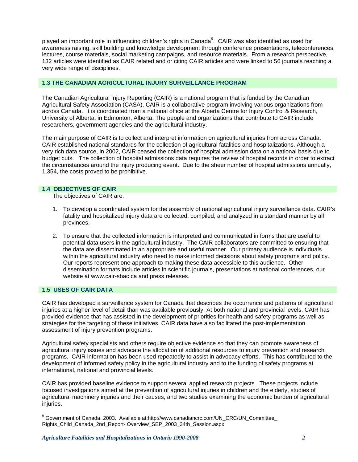played an important role in influencing children's rights in Canada $^9$ . CAIR was also identified as used for awareness raising, skill building and knowledge development through conference presentations, teleconferences, lectures, course materials, social marketing campaigns, and resource materials. From a research perspective, 132 articles were identified as CAIR related and or citing CAIR articles and were linked to 56 journals reaching a very wide range of disciplines.

#### **1.3 THE CANADIAN AGRICULTURAL INJURY SURVEILLANCE PROGRAM**

The Canadian Agricultural Injury Reporting (CAIR) is a national program that is funded by the Canadian Agricultural Safety Association (CASA). CAIR is a collaborative program involving various organizations from across Canada. It is coordinated from a national office at the Alberta Centre for Injury Control & Research, University of Alberta, in Edmonton, Alberta. The people and organizations that contribute to CAIR include researchers, government agencies and the agricultural industry.

The main purpose of CAIR is to collect and interpret information on agricultural injuries from across Canada. CAIR established national standards for the collection of agricultural fatalities and hospitalizations. Although a very rich data source, in 2002, CAIR ceased the collection of hospital admission data on a national basis due to budget cuts. The collection of hospital admissions data requires the review of hospital records in order to extract the circumstances around the injury producing event. Due to the sheer number of hospital admissions annually, 1,354, the costs proved to be prohibitive.

#### **1.4 OBJECTIVES OF CAIR**

The objectives of CAIR are:

- 1. To develop a coordinated system for the assembly of national agricultural injury surveillance data. CAIR's fatality and hospitalized injury data are collected, compiled, and analyzed in a standard manner by all provinces.
- 2. To ensure that the collected information is interpreted and communicated in forms that are useful to potential data users in the agricultural industry. The CAIR collaborators are committed to ensuring that the data are disseminated in an appropriate and useful manner. Our primary audience is individuals within the agricultural industry who need to make informed decisions about safety programs and policy. Our reports represent one approach to making these data accessible to this audience. Other dissemination formats include articles in scientific journals, presentations at national conferences, our website at www.cair-sbac.ca and press releases.

#### **1.5 USES OF CAIR DATA**

 $\overline{a}$ 

CAIR has developed a surveillance system for Canada that describes the occurrence and patterns of agricultural injuries at a higher level of detail than was available previously. At both national and provincial levels, CAIR has provided evidence that has assisted in the development of priorities for health and safety programs as well as strategies for the targeting of these initiatives. CAIR data have also facilitated the post-implementation assessment of injury prevention programs.

Agricultural safety specialists and others require objective evidence so that they can promote awareness of agricultural injury issues and advocate the allocation of additional resources to injury prevention and research programs. CAIR information has been used repeatedly to assist in advocacy efforts. This has contributed to the development of informed safety policy in the agricultural industry and to the funding of safety programs at international, national and provincial levels.

CAIR has provided baseline evidence to support several applied research projects. These projects include focused investigations aimed at the prevention of agricultural injuries in children and the elderly, studies of agricultural machinery injuries and their causes, and two studies examining the economic burden of agricultural injuries.

<sup>&</sup>lt;sup>9</sup> Government of Canada, 2003. Available at:http://www.canadiancrc.com/UN\_CRC/UN\_Committee\_ Rights\_Child\_Canada\_2nd\_Report- Overview\_SEP\_2003\_34th\_Session.aspx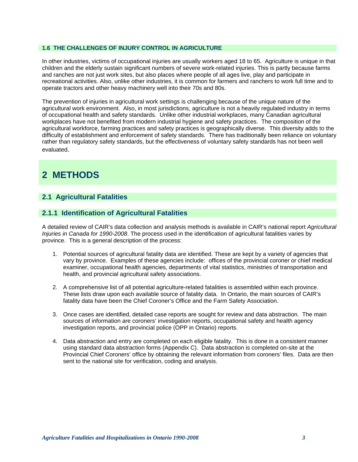#### **1.6 THE CHALLENGES OF INJURY CONTROL IN AGRICULTURE**

In other industries, victims of occupational injuries are usually workers aged 18 to 65. Agriculture is unique in that children and the elderly sustain significant numbers of severe work-related injuries. This is partly because farms and ranches are not just work sites, but also places where people of all ages live, play and participate in recreational activities. Also, unlike other industries, it is common for farmers and ranchers to work full time and to operate tractors and other heavy machinery well into their 70s and 80s.

The prevention of injuries in agricultural work settings is challenging because of the unique nature of the agricultural work environment. Also, in most jurisdictions, agriculture is not a heavily regulated industry in terms of occupational health and safety standards. Unlike other industrial workplaces, many Canadian agricultural workplaces have not benefited from modern industrial hygiene and safety practices. The composition of the agricultural workforce, farming practices and safety practices is geographically diverse. This diversity adds to the difficulty of establishment and enforcement of safety standards. There has traditionally been reliance on voluntary rather than regulatory safety standards, but the effectiveness of voluntary safety standards has not been well evaluated.

# **2 METHODS**

## **2.1 Agricultural Fatalities**

#### **2.1.1 Identification of Agricultural Fatalities**

A detailed review of CAIR's data collection and analysis methods is available in CAIR's national report *Agricultural Injuries in Canada for 1990-2008*. The process used in the identification of agricultural fatalities varies by province. This is a general description of the process:

- 1. Potential sources of agricultural fatality data are identified. These are kept by a variety of agencies that vary by province. Examples of these agencies include: offices of the provincial coroner or chief medical examiner, occupational health agencies, departments of vital statistics, ministries of transportation and health, and provincial agricultural safety associations.
- 2. A comprehensive list of all potential agriculture-related fatalities is assembled within each province. These lists draw upon each available source of fatality data. In Ontario, the main sources of CAIR's fatality data have been the Chief Coroner's Office and the Farm Safety Association.
- 3. Once cases are identified, detailed case reports are sought for review and data abstraction. The main sources of information are coroners' investigation reports, occupational safety and health agency investigation reports, and provincial police (OPP in Ontario) reports.
- 4. Data abstraction and entry are completed on each eligible fatality. This is done in a consistent manner using standard data abstraction forms (Appendix C). Data abstraction is completed on-site at the Provincial Chief Coroners' office by obtaining the relevant information from coroners' files. Data are then sent to the national site for verification, coding and analysis.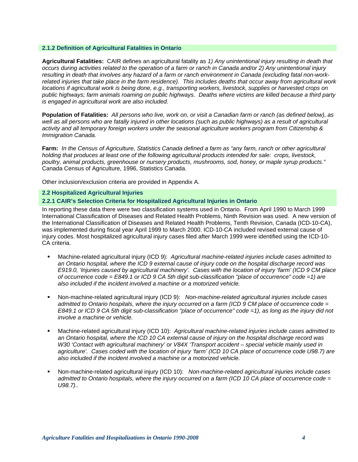#### **2.1.2 Definition of Agricultural Fatalities in Ontario**

**Agricultural Fatalities:** CAIR defines an agricultural fatality as *1) Any unintentional injury resulting in death that occurs during activities related to the operation of a farm or ranch in Canada and/or 2) Any unintentional injury resulting in death that involves any hazard of a farm or ranch environment in Canada (excluding fatal non-workrelated injuries that take place in the farm residence). This includes deaths that occur away from agricultural work locations if agricultural work is being done, e.g., transporting workers, livestock, supplies or harvested crops on public highways; farm animals roaming on public highways. Deaths where victims are killed because a third party is engaged in agricultural work are also included.* 

**Population of Fatalities:** *All persons who live, work on, or visit a Canadian farm or ranch (as defined below), as*  well as all persons who are fatally injured in other locations (such as public highways) as a result of agricultural *activity and all temporary foreign workers under the seasonal agriculture workers program from Citizenship & Immigration Canada.* 

**Farm:** *In the Census of Agriculture, Statistics Canada defined a farm as "any farm, ranch or other agricultural holding that produces at least one of the following agricultural products intended for sale: crops, livestock, poultry, animal products, greenhouse or nursery products, mushrooms, sod, honey, or maple syrup products."* Canada Census of Agriculture, 1996, Statistics Canada.

Other inclusion/exclusion criteria are provided in Appendix A.

#### **2.2 Hospitalized Agricultural Injuries**

#### **2.2.1 CAIR's Selection Criteria for Hospitalized Agricultural Injuries in Ontario**

In reporting these data there were two classification systems used in Ontario. From April 1990 to March 1999 International Classification of Diseases and Related Health Problems, Ninth Revision was used. A new version of the International Classification of Diseases and Related Health Problems, Tenth Revision, Canada (ICD-10-CA), was implemented during fiscal year April 1999 to March 2000. ICD-10-CA included revised external cause of injury codes. Most hospitalized agricultural injury cases filed after March 1999 were identified using the ICD-10- CA criteria.

- Machine-related agricultural injury (ICD 9): *Agricultural machine-related injuries include cases admitted to an Ontario hospital, where the ICD 9 external cause of injury code on the hospital discharge record was E919.0, 'Injuries caused by agricultural machinery'. Cases with the location of injury 'farm' (ICD 9 CM place of occurrence code = E849.1 or ICD 9 CA 5th digit sub-classification "place of occurrence" code =1) are also included if the incident involved a machine or a motorized vehicle.*
- Non-machine-related agricultural injury (ICD 9): *Non-machine-related agricultural injuries include cases admitted to Ontario hospitals, where the injury occurred on a farm (ICD 9 CM place of occurrence code = E849.1 or ICD 9 CA 5th digit sub-classification "place of occurrence" code =1), as long as the injury did not involve a machine or vehicle.*
- Machine-related agricultural injury (ICD 10): *Agricultural machine-related injuries include cases admitted to an Ontario hospital, where the ICD 10 CA external cause of injury on the hospital discharge record was W30 'Contact with agricultural machinery' or V84X 'Transport accident – special vehicle mainly used in agriculture'. Cases coded with the location of injury 'farm' (ICD 10 CA place of occurrence code U98.7) are also included if the incident involved a machine or a motorized vehicle.*
- Non-machine-related agricultural injury (ICD 10): *Non-machine-related agricultural injuries include cases admitted to Ontario hospitals, where the injury occurred on a farm (ICD 10 CA place of occurrence code = U98.7)..*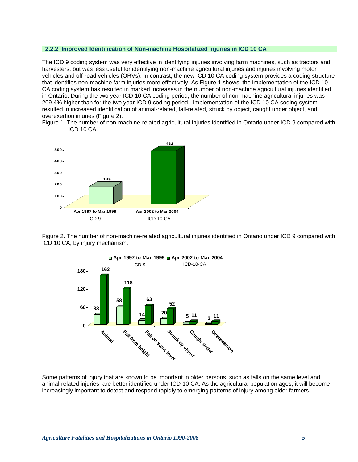#### **2.2.2 Improved Identification of Non-machine Hospitalized Injuries in ICD 10 CA**

The ICD 9 coding system was very effective in identifying injuries involving farm machines, such as tractors and harvesters, but was less useful for identifying non-machine agricultural injuries and injuries involving motor vehicles and off-road vehicles (ORVs). In contrast, the new ICD 10 CA coding system provides a coding structure that identifies non-machine farm injuries more effectively. As Figure 1 shows, the implementation of the ICD 10 CA coding system has resulted in marked increases in the number of non-machine agricultural injuries identified in Ontario. During the two year ICD 10 CA coding period, the number of non-machine agricultural injuries was 209.4% higher than for the two year ICD 9 coding period. Implementation of the ICD 10 CA coding system resulted in increased identification of animal-related, fall-related, struck by object, caught under object, and overexertion injuries (Figure 2).

Figure 1. The number of non-machine-related agricultural injuries identified in Ontario under ICD 9 compared with ICD 10 CA.



Figure 2. The number of non-machine-related agricultural injuries identified in Ontario under ICD 9 compared with ICD 10 CA, by injury mechanism.



Some patterns of injury that are known to be important in older persons, such as falls on the same level and animal-related injuries, are better identified under ICD 10 CA. As the agricultural population ages, it will become increasingly important to detect and respond rapidly to emerging patterns of injury among older farmers.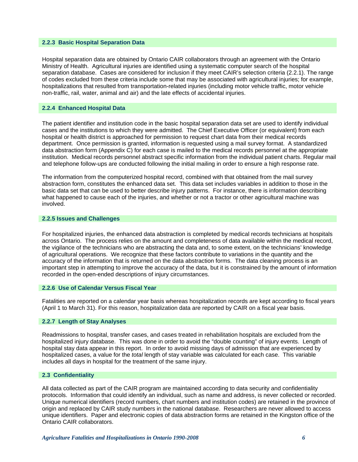#### **2.2.3 Basic Hospital Separation Data**

Hospital separation data are obtained by Ontario CAIR collaborators through an agreement with the Ontario Ministry of Health. Agricultural injuries are identified using a systematic computer search of the hospital separation database. Cases are considered for inclusion if they meet CAIR's selection criteria (2.2.1). The range of codes excluded from these criteria include some that may be associated with agricultural injuries; for example, hospitalizations that resulted from transportation-related injuries (including motor vehicle traffic, motor vehicle non-traffic, rail, water, animal and air) and the late effects of accidental injuries.

#### **2.2.4 Enhanced Hospital Data**

The patient identifier and institution code in the basic hospital separation data set are used to identify individual cases and the institutions to which they were admitted. The Chief Executive Officer (or equivalent) from each hospital or health district is approached for permission to request chart data from their medical records department. Once permission is granted, information is requested using a mail survey format. A standardized data abstraction form (Appendix C) for each case is mailed to the medical records personnel at the appropriate institution. Medical records personnel abstract specific information from the individual patient charts. Regular mail and telephone follow-ups are conducted following the initial mailing in order to ensure a high response rate.

The information from the computerized hospital record, combined with that obtained from the mail survey abstraction form, constitutes the enhanced data set. This data set includes variables in addition to those in the basic data set that can be used to better describe injury patterns. For instance, there is information describing what happened to cause each of the injuries, and whether or not a tractor or other agricultural machine was involved.

#### **2.2.5 Issues and Challenges**

For hospitalized injuries, the enhanced data abstraction is completed by medical records technicians at hospitals across Ontario. The process relies on the amount and completeness of data available within the medical record, the vigilance of the technicians who are abstracting the data and, to some extent, on the technicians' knowledge of agricultural operations. We recognize that these factors contribute to variations in the quantity and the accuracy of the information that is returned on the data abstraction forms. The data cleaning process is an important step in attempting to improve the accuracy of the data, but it is constrained by the amount of information recorded in the open-ended descriptions of injury circumstances.

#### **2.2.6 Use of Calendar Versus Fiscal Year**

Fatalities are reported on a calendar year basis whereas hospitalization records are kept according to fiscal years (April 1 to March 31). For this reason, hospitalization data are reported by CAIR on a fiscal year basis.

#### **2.2.7 Length of Stay Analyses**

Readmissions to hospital, transfer cases, and cases treated in rehabilitation hospitals are excluded from the hospitalized injury database. This was done in order to avoid the "double counting" of injury events. Length of hospital stay data appear in this report. In order to avoid missing days of admission that are experienced by hospitalized cases, a value for the *total* length of stay variable was calculated for each case. This variable includes all days in hospital for the treatment of the same injury.

#### **2.3 Confidentiality**

All data collected as part of the CAIR program are maintained according to data security and confidentiality protocols. Information that could identify an individual, such as name and address, is never collected or recorded. Unique numerical identifiers (record numbers, chart numbers and institution codes) are retained in the province of origin and replaced by CAIR study numbers in the national database. Researchers are never allowed to access unique identifiers. Paper and electronic copies of data abstraction forms are retained in the Kingston office of the Ontario CAIR collaborators.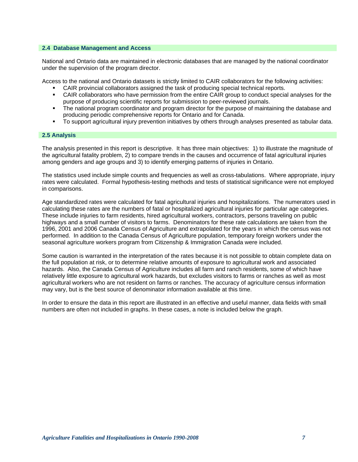#### **2.4 Database Management and Access**

National and Ontario data are maintained in electronic databases that are managed by the national coordinator under the supervision of the program director.

Access to the national and Ontario datasets is strictly limited to CAIR collaborators for the following activities:

- CAIR provincial collaborators assigned the task of producing special technical reports.
- CAIR collaborators who have permission from the entire CAIR group to conduct special analyses for the purpose of producing scientific reports for submission to peer-reviewed journals.
- The national program coordinator and program director for the purpose of maintaining the database and producing periodic comprehensive reports for Ontario and for Canada.
- To support agricultural injury prevention initiatives by others through analyses presented as tabular data.

#### **2.5 Analysis**

The analysis presented in this report is descriptive. It has three main objectives: 1) to illustrate the magnitude of the agricultural fatality problem, 2) to compare trends in the causes and occurrence of fatal agricultural injuries among genders and age groups and 3) to identify emerging patterns of injuries in Ontario.

The statistics used include simple counts and frequencies as well as cross-tabulations. Where appropriate, injury rates were calculated. Formal hypothesis-testing methods and tests of statistical significance were not employed in comparisons.

Age standardized rates were calculated for fatal agricultural injuries and hospitalizations. The numerators used in calculating these rates are the numbers of fatal or hospitalized agricultural injuries for particular age categories. These include injuries to farm residents, hired agricultural workers, contractors, persons traveling on public highways and a small number of visitors to farms. Denominators for these rate calculations are taken from the 1996, 2001 and 2006 Canada Census of Agriculture and extrapolated for the years in which the census was not performed. In addition to the Canada Census of Agriculture population, temporary foreign workers under the seasonal agriculture workers program from Citizenship & Immigration Canada were included.

Some caution is warranted in the interpretation of the rates because it is not possible to obtain complete data on the full population at risk, or to determine relative amounts of exposure to agricultural work and associated hazards. Also, the Canada Census of Agriculture includes all farm and ranch residents, some of which have relatively little exposure to agricultural work hazards, but excludes visitors to farms or ranches as well as most agricultural workers who are not resident on farms or ranches. The accuracy of agriculture census information may vary, but is the best source of denominator information available at this time.

In order to ensure the data in this report are illustrated in an effective and useful manner, data fields with small numbers are often not included in graphs. In these cases, a note is included below the graph.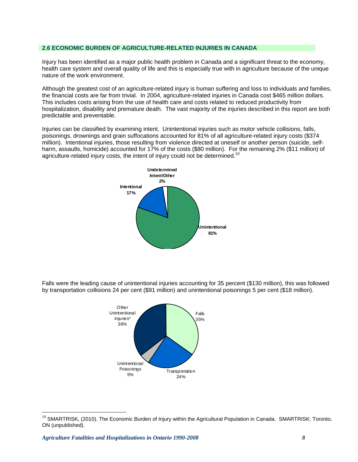#### **2.6 ECONOMIC BURDEN OF AGRICULTURE-RELATED INJURIES IN CANADA**

Injury has been identified as a major public health problem in Canada and a significant threat to the economy, health care system and overall quality of life and this is especially true with in agriculture because of the unique nature of the work environment.

Although the greatest cost of an agriculture-related injury is human suffering and loss to individuals and families, the financial costs are far from trivial. In 2004, agriculture-related injuries in Canada cost \$465 million dollars. This includes costs arising from the use of health care and costs related to reduced productivity from hospitalization, disability and premature death. The vast majority of the injuries described in this report are both predictable and preventable.

Injuries can be classified by examining intent. Unintentional injuries such as motor vehicle collisions, falls, poisonings, drownings and grain suffocations accounted for 81% of all agriculture-related injury costs (\$374 million). Intentional injuries, those resulting from violence directed at oneself or another person (suicide, selfharm, assaults, homicide) accounted for 17% of the costs (\$80 million). For the remaining 2% (\$11 million) of agriculture-related injury costs, the intent of injury could not be determined.<sup>10</sup>



Falls were the leading cause of unintentional injuries accounting for 35 percent (\$130 million), this was followed by transportation collisions 24 per cent (\$91 million) and unintentional poisonings 5 per cent (\$18 million).



 $\overline{a}$ 

 $10$  SMARTRISK, (2010). The Economic Burden of Injury within the Agricultural Population in Canada. SMARTRISK: Toronto, ON (unpublished).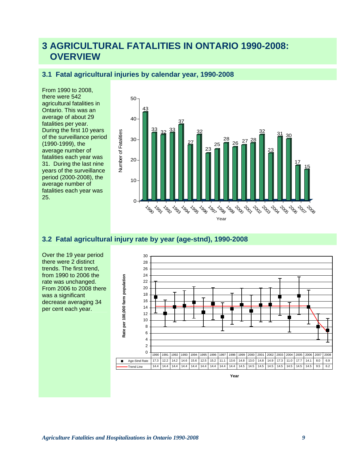# **3 AGRICULTURAL FATALITIES IN ONTARIO 1990-2008: OVERVIEW**

# **3.1 Fatal agricultural injuries by calendar year, 1990-2008**

From 1990 to 2008, there were 542 agricultural fatalities in Ontario. This was an average of about 29 fatalities per year. During the first 10 years of the surveillance period (1990-1999), the average number of fatalities each year was 31. During the last nine years of the surveillance period (2000-2008), the average number of fatalities each year was 25.



# **3.2 Fatal agricultural injury rate by year (age-stnd), 1990-2008**

Over the 19 year period there were 2 distinct trends. The first trend, from 1990 to 2006 the rate was unchanged. From 2006 to 2008 there was a significant decrease averaging 34 per cent each year.

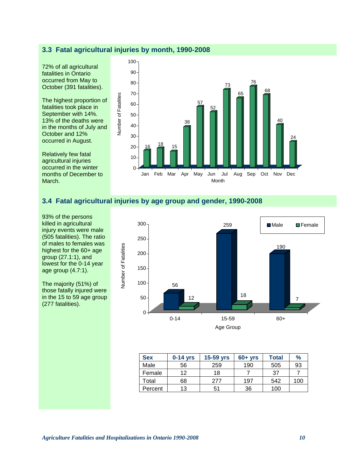## **3.3 Fatal agricultural injuries by month, 1990-2008**

72% of all agricultural fatalities in Ontario occurred from May to October (391 fatalities).

The highest proportion of fatalities took place in September with 14%. 13% of the deaths were in the months of July and October and 12% occurred in August.

Relatively few fatal agricultural injuries occurred in the winter months of December to March.



# **3.4 Fatal agricultural injuries by age group and gender, 1990-2008**

93% of the persons killed in agricultural injury events were male (505 fatalities). The ratio of males to females was highest for the 60+ age group (27.1:1), and lowest for the 0-14 year age group (4.7:1).

The majority (51%) of those fatally injured were in the 15 to 59 age group (277 fatalities).



| <b>Sex</b> | $0-14$ yrs | 15-59 yrs | $60 + yrs$ | <b>Total</b> | $\frac{9}{6}$ |
|------------|------------|-----------|------------|--------------|---------------|
| Male       | 56         | 259       | 190        | 505          | 93            |
| Female     | 12         | 18        |            | 37           |               |
| Total      | 68         | 277       | 197        | 542          | 100           |
| Percent    | 13         | 51        | 36         | 100          |               |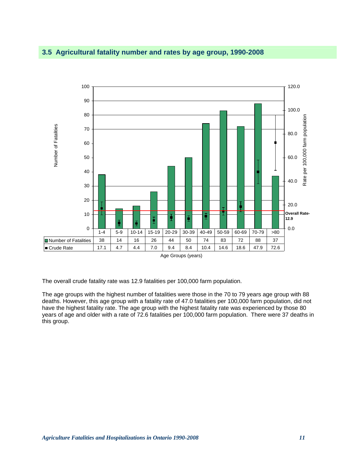# **3.5 Agricultural fatality number and rates by age group, 1990-2008**



The overall crude fatality rate was 12.9 fatalities per 100,000 farm population.

The age groups with the highest number of fatalities were those in the 70 to 79 years age group with 88 deaths. However, this age group with a fatality rate of 47.0 fatalities per 100,000 farm population, did not have the highest fatality rate. The age group with the highest fatality rate was experienced by those 80 years of age and older with a rate of 72.6 fatalities per 100,000 farm population. There were 37 deaths in this group.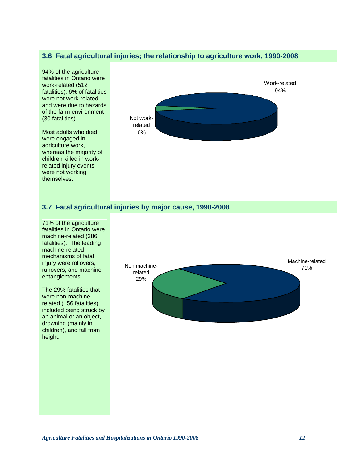# **3.6 Fatal agricultural injuries; the relationship to agriculture work, 1990-2008**

94% of the agriculture fatalities in Ontario were work-related (512 fatalities). 6% of fatalities were not work-related and were due to hazards of the farm environment (30 fatalities).

Most adults who died were engaged in agriculture work, whereas the majority of children killed in workrelated injury events were not working themselves.



# **3.7 Fatal agricultural injuries by major cause, 1990-2008**

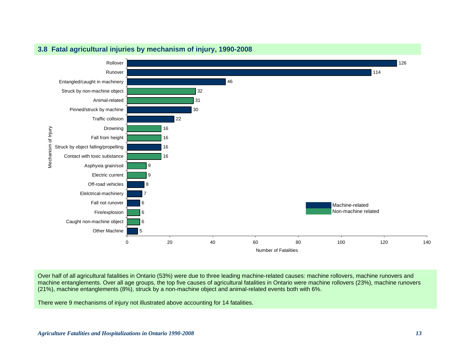

# **3.8 Fatal agricultural injuries by mechanism of injury, 1990-2008**

Over half of all agricultural fatalities in Ontario (53%) were due to three leading machine-related causes: machine rollovers, machine runovers and machine entanglements. Over all age groups, the top five causes of agricultural fatalities in Ontario were machine rollovers (23%), machine runovers (21%), machine entanglements (8%), struck by a non-machine object and animal-related events both with 6%.

There were 9 mechanisms of injury not illustrated above accounting for 14 fatalities.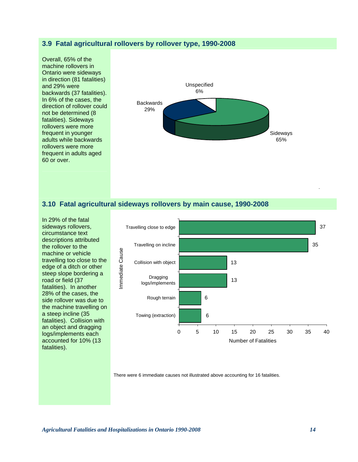## **3.9 Fatal agricultural rollovers by rollover type, 1990-2008**

Overall, 65% of the machine rollovers in Ontario were sideways in direction (81 fatalities) and 29% were backwards (37 fatalities). In 6% of the cases, the direction of rollover could not be determined (8 fatalities). Sideways rollovers were more frequent in younger adults while backwards rollovers were more frequent in adults aged 60 or over.



#### **3.10 Fatal agricultural sideways rollovers by main cause, 1990-2008**

In 29% of the fatal sideways rollovers, circumstance text descriptions attributed the rollover to the machine or vehicle travelling too close to the edge of a ditch or other steep slope bordering a road or field (37 fatalities). In another 28% of the cases, the side rollover was due to the machine travelling on a steep incline (35 fatalities). Collision with an object and dragging logs/implements each accounted for 10% (13 fatalities).



There were 6 immediate causes not illustrated above accounting for 16 fatalities.

*Agricultural Fatalities and Hospitalizations in Ontario 1990-2008 14*

.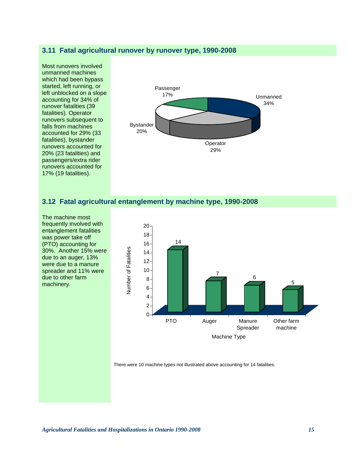## **3.11 Fatal agricultural runover by runover type, 1990-2008**



#### **3.12 Fatal agricultural entanglement by machine type, 1990-2008**

The machine most frequently involved with entanglement fatalities was power take off (PTO) accounting for 30%. Another 15% were due to an auger, 13% were due to a manure spreader and 11% were due to other farm machinery.



There were 10 machine types not illustrated above accounting for 14 fatalities.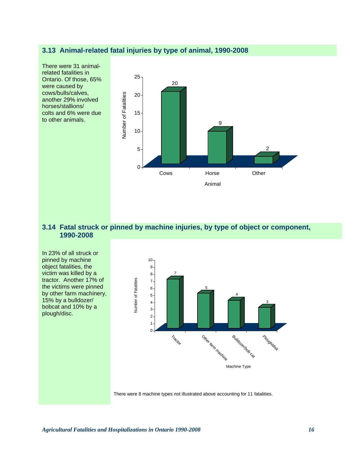# **3.13 Animal-related fatal injuries by type of animal, 1990-2008**

There were 31 animalrelated fatalities in Ontario. Of those, 65% were caused by cows/bulls/calves, another 29% involved horses/stallions/ colts and 6% were due to other animals.



# **3.14 Fatal struck or pinned by machine injuries, by type of object or component, 1990-2008**

In 23% of all struck or pinned by machine object fatalities, the victim was killed by a tractor. Another 17% of the victims were pinned by other farm machinery, 15% by a bulldozer/ bobcat and 10% by a plough/disc.



There were 8 machine types not illustrated above accounting for 11 fatalities.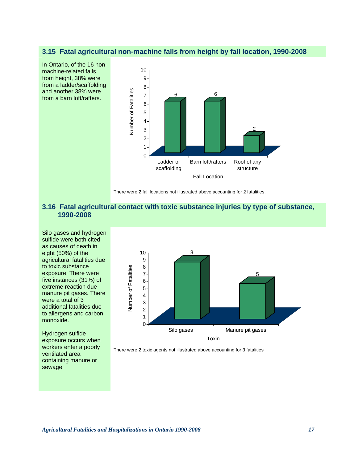### **3.15 Fatal agricultural non-machine falls from height by fall location, 1990-2008**



There were 2 fall locations not illustrated above accounting for 2 fatalities.

# **3.16 Fatal agricultural contact with toxic substance injuries by type of substance, 1990-2008**

Silo gases and hydrogen sulfide were both cited as causes of death in eight (50%) of the agricultural fatalities due to toxic substance exposure. There were five instances (31%) of extreme reaction due manure pit gases. There were a total of 3 additional fatalities due to allergens and carbon monoxide.

Hydrogen sulfide exposure occurs when workers enter a poorly ventilated area containing manure or sewage.



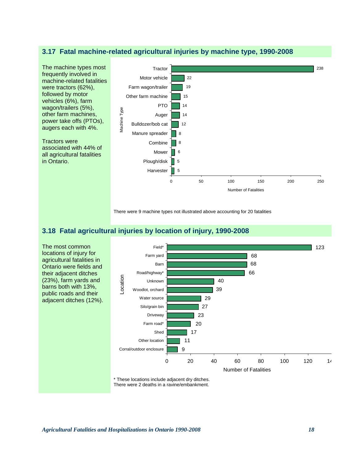### **3.17 Fatal machine-related agricultural injuries by machine type, 1990-2008**



There were 9 machine types not illustrated above accounting for 20 fatalities

# **3.18 Fatal agricultural injuries by location of injury, 1990-2008**



\* These locations include adjacent dry ditches.

There were 2 deaths in a ravine/embankment.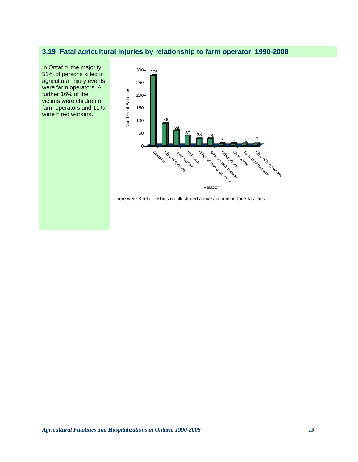# **3.19 Fatal agricultural injuries by relationship to farm operator, 1990-2008**



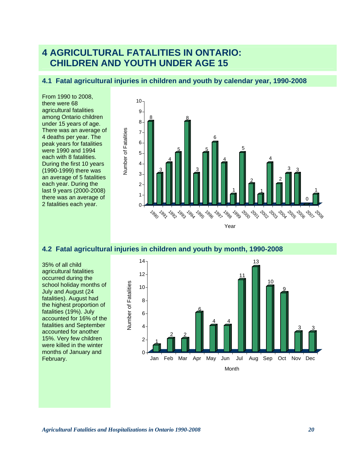# **4 AGRICULTURAL FATALITIES IN ONTARIO: CHILDREN AND YOUTH UNDER AGE 15**

# **4.1 Fatal agricultural injuries in children and youth by calendar year, 1990-2008**

From 1990 to 2008, there were 68 agricultural fatalities among Ontario children under 15 years of age. There was an average of 4 deaths per year. The peak years for fatalities were 1990 and 1994 each with 8 fatalities. During the first 10 years (1990-1999) there was an average of 5 fatalities each year. During the last 9 years (2000-2008) there was an average of 2 fatalities each year.



# **4.2 Fatal agricultural injuries in children and youth by month, 1990-2008**

35% of all child agricultural fatalities occurred during the school holiday months of July and August (24 fatalities). August had the highest proportion of fatalities (19%). July accounted for 16% of the fatalities and September accounted for another 15%. Very few children were killed in the winter months of January and February.

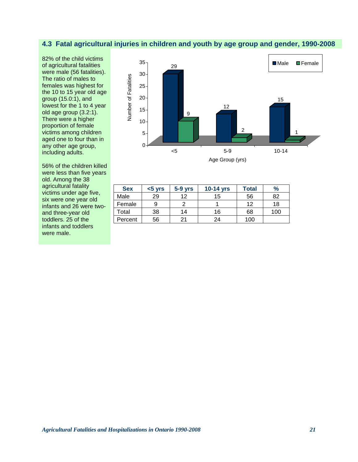# **4.3 Fatal agricultural injuries in children and youth by age group and gender, 1990-2008**

82% of the child victims of agricultural fatalities were male (56 fatalities). The ratio of males to females was highest for the 10 to 15 year old age group (15.0:1), and lowest for the 1 to 4 year old age group (3.2:1). There were a higher proportion of female victims among children aged one to four than in any other age group, including adults.

56% of the children killed were less than five years old. Among the 38 agricultural fatality victims under age five, six were one year old infants and 26 were twoand three-year old toddlers. 25 of the infants and toddlers were male.



| <b>Sex</b> | $< 5$ yrs | $5-9$ yrs | 10-14 yrs | <b>Total</b> | $\frac{9}{6}$ |
|------------|-----------|-----------|-----------|--------------|---------------|
| Male       | 29        | 12        | 15        | 56           | 82            |
| Female     |           |           |           | 12           | 18            |
| Total      | 38        | 14        | 16        | 68           | 100           |
| Percent    | 56        | 21        | 24        | 100          |               |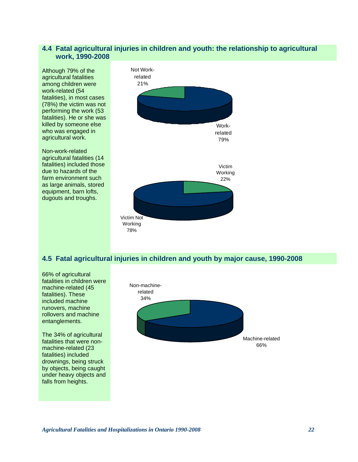## **4.4 Fatal agricultural injuries in children and youth: the relationship to agricultural work, 1990-2008**

Although 79% of the agricultural fatalities among children were work-related (54 fatalities), in most cases (78%) the victim was not performing the work (53 fatalities). He or she was killed by someone else who was engaged in agricultural work.

Non-work-related agricultural fatalities (14 fatalities) included those due to hazards of the farm environment such as large animals, stored equipment, barn lofts, dugouts and troughs.



# **4.5 Fatal agricultural injuries in children and youth by major cause, 1990-2008**

66% of agricultural fatalities in children were machine-related (45 fatalities). These included machine runovers, machine rollovers and machine entanglements.

The 34% of agricultural fatalities that were nonmachine-related (23 fatalities) included drownings, being struck by objects, being caught under heavy objects and falls from heights.

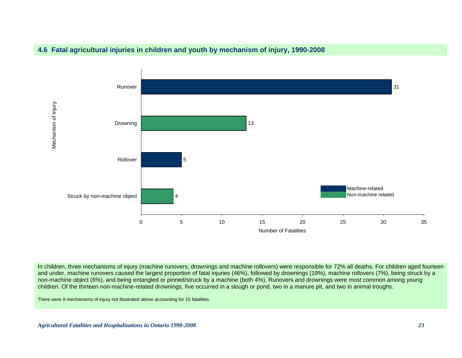



In children, three mechanisms of injury (machine runovers, drownings and machine rollovers) were responsible for 72% all deaths. For children aged fourteen and under, machine runovers caused the largest proportion of fatal injuries (46%), followed by drownings (19%), machine rollovers (7%), being struck by a non-machine object (6%), and being entangled or pinned/struck by a machine (both 4%). Runovers and drownings were most common among young children. Of the thirteen non-machine-related drownings, five occurred in a slough or pond, two in a manure pit, and two in animal troughs.

There were 9 mechanisms of injury not illustrated above accounting for 15 fatalities.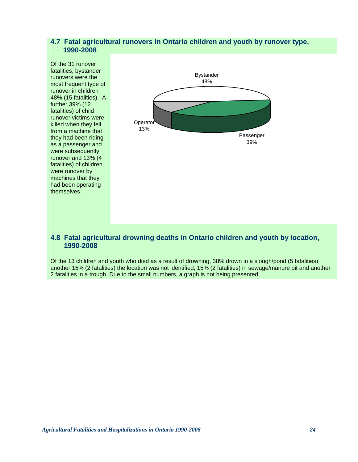# **4.7 Fatal agricultural runovers in Ontario children and youth by runover type, 1990-2008**



# **4.8 Fatal agricultural drowning deaths in Ontario children and youth by location, 1990-2008**

Of the 13 children and youth who died as a result of drowning, 38% drown in a slough/pond (5 fatalities), another 15% (2 fatalities) the location was not identified, 15% (2 fatalities) in sewage/manure pit and another 2 fatalities in a trough. Due to the small numbers, a graph is not being presented.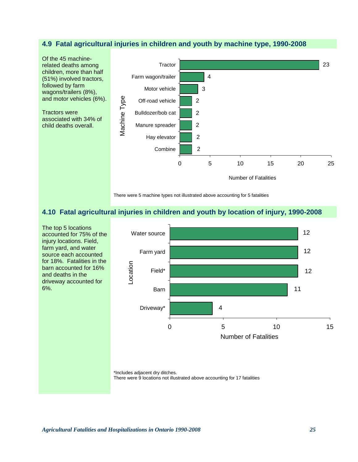# **4.9 Fatal agricultural injuries in children and youth by machine type, 1990-2008**



There were 5 machine types not illustrated above accounting for 5 fatalities

## **4.10 Fatal agricultural injuries in children and youth by location of injury, 1990-2008**



\*Includes adjacent dry ditches.

There were 9 locations not illustrated above accounting for 17 fatalities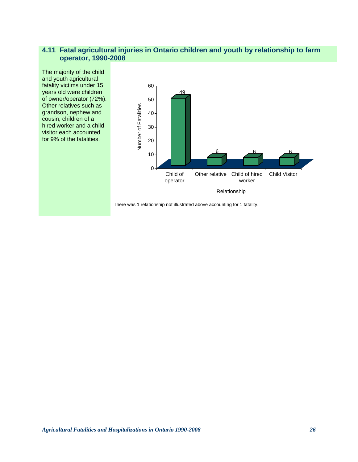# **4.11 Fatal agricultural injuries in Ontario children and youth by relationship to farm operator, 1990-2008**

The majority of the child and youth agricultural fatality victims under 15 years old were children of owner/operator (72%). Other relatives such as grandson, nephew and cousin, children of a hired worker and a child visitor each accounted for 9% of the fatalities.



There was 1 relationship not illustrated above accounting for 1 fatality.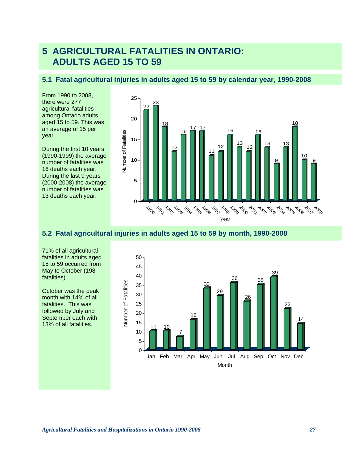# **5 AGRICULTURAL FATALITIES IN ONTARIO: ADULTS AGED 15 TO 59**

# **5.1 Fatal agricultural injuries in adults aged 15 to 59 by calendar year, 1990-2008**

From 1990 to 2008, there were 277 agricultural fatalities among Ontario adults aged 15 to 59. This was an average of 15 per year.

During the first 10 years (1990-1999) the average number of fatalities was 16 deaths each year. During the last 9 years (2000-2008) the average number of fatalities was 13 deaths each year.



# **5.2 Fatal agricultural injuries in adults aged 15 to 59 by month, 1990-2008**

71% of all agricultural fatalities in adults aged 15 to 59 occurred from May to October (198 fatalities).

October was the peak month with 14% of all fatalities. This was followed by July and September each with Matamies).<br>
October was the peak<br>
month with 14% of all<br>
fatalities. This was<br>
followed by July and<br>
September each with<br>
13% of all fatalities.

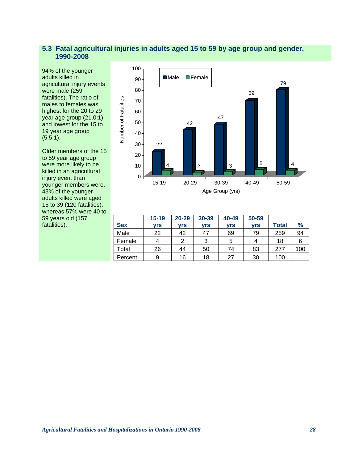# **5.3 Fatal agricultural injuries in adults aged 15 to 59 by age group and gender, 1990-2008**

94% of the younger adults killed in agricultural injury events were male (259 fatalities). The ratio of males to females was highest for the 20 to 29 year age group (21.0:1), and lowest for the 15 to 19 year age group (5.5:1).

Older members of the 15 to 59 year age group were more likely to be killed in an agricultural injury event than younger members were. 43% of the younger adults killed were aged 15 to 39 (120 fatalities), whereas 57% were 40 to 59 years old (157 fatalities).



|            | $15 - 19$ | $20 - 29$ | 30-39 | 40-49      | 50-59      |              |               |
|------------|-----------|-----------|-------|------------|------------|--------------|---------------|
| <b>Sex</b> | vrs       | vrs       | vrs   | <b>vrs</b> | <b>vrs</b> | <b>Total</b> | $\frac{9}{6}$ |
| Male       | 22        | 42        | 47    | 69         | 79         | 259          | 94            |
| Female     | 4         | 2         | ົ     | 5          |            | 18           |               |
| Total      | 26        | 44        | 50    | 74         | 83         | 277          | 100           |
| Percent    | 9         | 16        | 18    | 27         | 30         | 100          |               |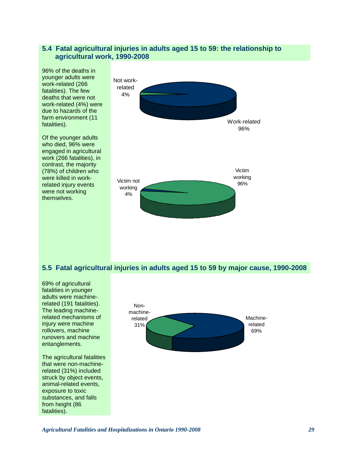#### **5.4 Fatal agricultural injuries in adults aged 15 to 59: the relationship to agricultural work, 1990-2008**



## **5.5 Fatal agricultural injuries in adults aged 15 to 59 by major cause, 1990-2008**

69% of agricultural fatalities in younger adults were machinerelated (191 fatalities). The leading machinerelated mechanisms of injury were machine rollovers, machine runovers and machine entanglements. The agricultural fatalities that were non-machinerelated (31%) included struck by object events, animal-related events, exposure to toxic substances, and falls from height (86 fatalities). Nonmachinerelated 31% Machinerelated

69%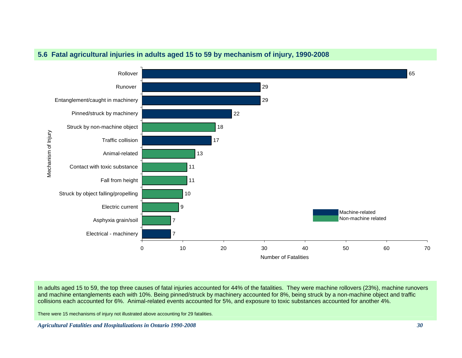

## **5.6 Fatal agricultural injuries in adults aged 15 to 59 by mechanism of injury, 1990-2008**

In adults aged 15 to 59, the top three causes of fatal injuries accounted for 44% of the fatalities. They were machine rollovers (23%), machine runovers and machine entanglements each with 10%. Being pinned/struck by machinery accounted for 8%, being struck by a non-machine object and traffic collisions each accounted for 6%. Animal-related events accounted for 5%, and exposure to toxic substances accounted for another 4%.

There were 15 mechanisms of injury not illustrated above accounting for 29 fatalities.

*Agricultural Fatalities and Hospitalizations in Ontario 1990-2008 30*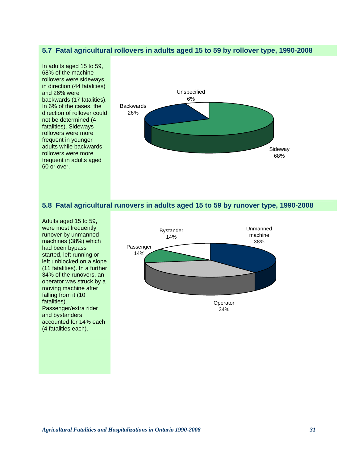#### **5.7 Fatal agricultural rollovers in adults aged 15 to 59 by rollover type, 1990-2008**

In adults aged 15 to 59, 68% of the machine rollovers were sideways in direction (44 fatalities) and 26% were backwards (17 fatalities). In 6% of the cases, the direction of rollover could not be determined (4 fatalities). Sideways rollovers were more frequent in younger adults while backwards rollovers were more frequent in adults aged 60 or over.



#### **5.8 Fatal agricultural runovers in adults aged 15 to 59 by runover type, 1990-2008**

Adults aged 15 to 59, were most frequently runover by unmanned machines (38%) which had been bypass started, left running or left unblocked on a slope (11 fatalities). In a further 34% of the runovers, an operator was struck by a moving machine after falling from it (10 fatalities). Passenger/extra rider and bystanders accounted for 14% each (4 fatalities each).



34%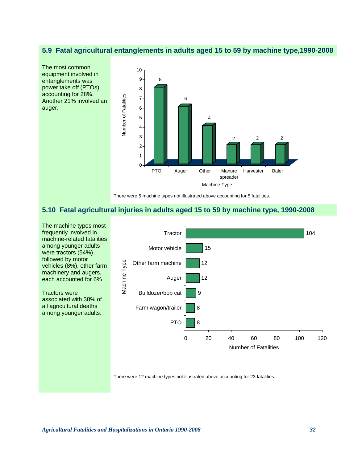### **5.9 Fatal agricultural entanglements in adults aged 15 to 59 by machine type,1990-2008**



There were 5 machine types not illustrated above accounting for 5 fatalities.

## **5.10 Fatal agricultural injuries in adults aged 15 to 59 by machine type, 1990-2008**



There were 12 machine types not illustrated above accounting for 23 fatalities.

followed by motor

Tractors were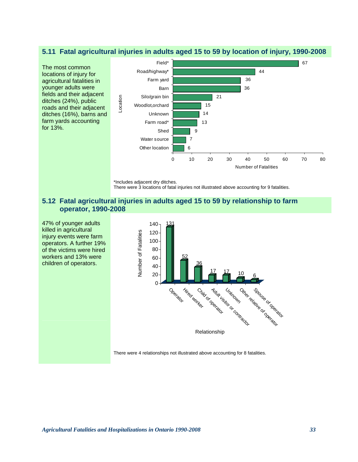#### **5.11 Fatal agricultural injuries in adults aged 15 to 59 by location of injury, 1990-2008**



<sup>\*</sup>Includes adjacent dry ditches.

There were 3 locations of fatal injuries not illustrated above accounting for 9 fatalities.

## **5.12 Fatal agricultural injuries in adults aged 15 to 59 by relationship to farm operator, 1990-2008**

47% of younger adults killed in agricultural injury events were farm operators. A further 19% of the victims were hired workers and 13% were children of operators.



There were 4 relationships not illustrated above accounting for 8 fatalities.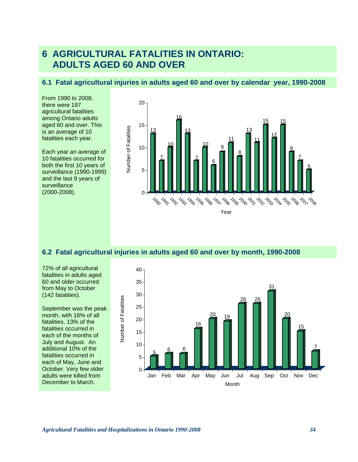# **6 AGRICULTURAL FATALITIES IN ONTARIO: ADULTS AGED 60 AND OVER**

#### **6.1 Fatal agricultural injuries in adults aged 60 and over by calendar year, 1990-2008**

From 1990 to 2008, there were 197 agricultural fatalities among Ontario adults aged 60 and over. This is an average of 10 fatalities each year.

Each year an average of 10 fatalities occurred for both the first 10 years of surveillance (1990-1999) and the last 9 years of surveillance (2000-2008).



#### **6.2 Fatal agricultural injuries in adults aged 60 and over by month, 1990-2008**

72% of all agricultural fatalities in adults aged 60 and older occurred from May to October (142 fatalities).

September was the peak month, with 16% of all fatalities. 13% of the fatalities occurred in each of the months of July and August. An additional 10% of the fatalities occurred in each of May, June and October. Very few older adults were killed from December to March.

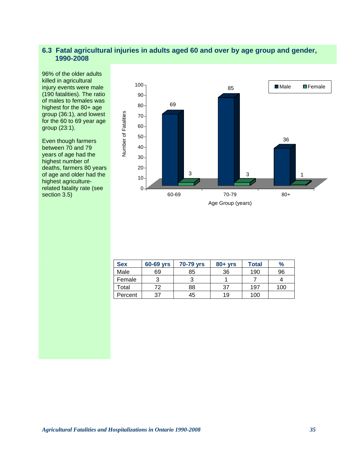## **6.3 Fatal agricultural injuries in adults aged 60 and over by age group and gender, 1990-2008**

96% of the older adults killed in agricultural injury events were male (190 fatalities). The ratio of males to females was highest for the 80+ age group (36:1), and lowest for the 60 to 69 year age group (23:1).

Even though farmers between 70 and 79 years of age had the highest number of deaths, farmers 80 years of age and older had the highest agriculturerelated fatality rate (see section 3.5)



| <b>Sex</b> | 60-69 yrs | 70-79 yrs | $80 + yrs$ | <b>Total</b> | $\%$ |
|------------|-----------|-----------|------------|--------------|------|
| Male       | 69        | 85        | 36         | 190          | 96   |
| Female     |           | ີ         |            |              |      |
| Total      | 72        | 88        | 37         | 197          | 100  |
| Percent    | 37        | 45        | 19         | 100          |      |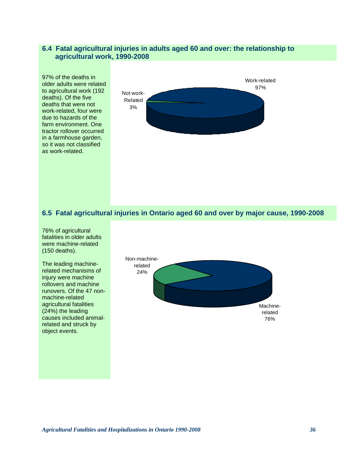#### **6.4 Fatal agricultural injuries in adults aged 60 and over: the relationship to agricultural work, 1990-2008**

97% of the deaths in older adults were related to agricultural work (192 deaths). Of the five deaths that were not work-related, four were due to hazards of the farm environment. One tractor rollover occurred in a farmhouse garden, so it was not classified as work-related.



## **6.5 Fatal agricultural injuries in Ontario aged 60 and over by major cause, 1990-2008**

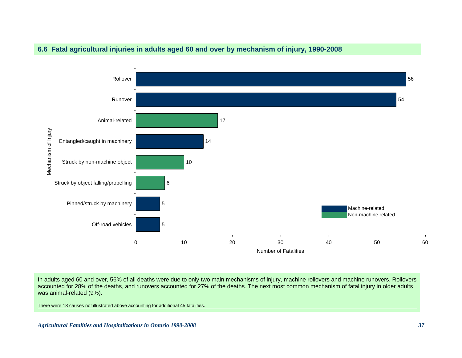

## **6.6 Fatal agricultural injuries in adults aged 60 and over by mechanism of injury, 1990-2008**

In adults aged 60 and over, 56% of all deaths were due to only two main mechanisms of injury, machine rollovers and machine runovers. Rollovers accounted for 28% of the deaths, and runovers accounted for 27% of the deaths. The next most common mechanism of fatal injury in older adults was animal-related (9%).

There were 18 causes not illustrated above accounting for additional 45 fatalities.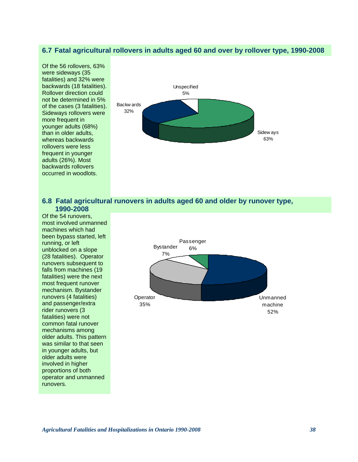### **6.7 Fatal agricultural rollovers in adults aged 60 and over by rollover type, 1990-2008**

Of the 56 rollovers, 63% were sideways (35 fatalities) and 32% were backwards (18 fatalities). Rollover direction could not be determined in 5% of the cases (3 fatalities). Sideways rollovers were more frequent in younger adults (68%) than in older adults, whereas backwards rollovers were less frequent in younger adults (26%). Most backwards rollovers occurred in woodlots.



#### **6.8 Fatal agricultural runovers in adults aged 60 and older by runover type, 1990-2008**

Of the 54 runovers, most involved unmanned machines which had been bypass started, left running, or left unblocked on a slope (28 fatalities). Operator runovers subsequent to falls from machines (19 fatalities) were the next most frequent runover mechanism. Bystander runovers (4 fatalities) and passenger/extra rider runovers (3 fatalities) were not common fatal runover mechanisms among older adults. This pattern was similar to that seen in younger adults, but older adults were involved in higher proportions of both operator and unmanned runovers.

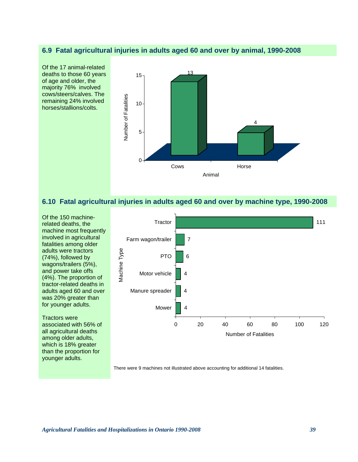#### **6.9 Fatal agricultural injuries in adults aged 60 and over by animal, 1990-2008**



#### **6.10 Fatal agricultural injuries in adults aged 60 and over by machine type, 1990-2008**

Of the 150 machinerelated deaths, the machine most frequently involved in agricultural fatalities among older adults were tractors (74%), followed by wagons/trailers (5%), and power take offs (4%). The proportion of tractor-related deaths in adults aged 60 and over was 20% greater than for younger adults.

Tractors were associated with 56% of all agricultural deaths among older adults, which is 18% greater than the proportion for younger adults.



There were 9 machines not illustrated above accounting for additional 14 fatalities.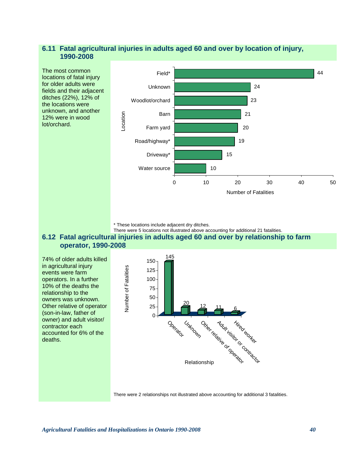## **6.11 Fatal agricultural injuries in adults aged 60 and over by location of injury, 1990-2008**



\* These locations include adjacent dry ditches.

#### There were 5 locations not illustrated above accounting for additional 21 fatalities. **6.12 Fatal agricultural injuries in adults aged 60 and over by relationship to farm operator, 1990-2008**

74% of older adults killed in agricultural injury events were farm operators. In a further 10% of the deaths the relationship to the owners was unknown. Other relative of operator (son-in-law, father of owner) and adult visitor/ contractor each accounted for 6% of the deaths.



There were 2 relationships not illustrated above accounting for additional 3 fatalities.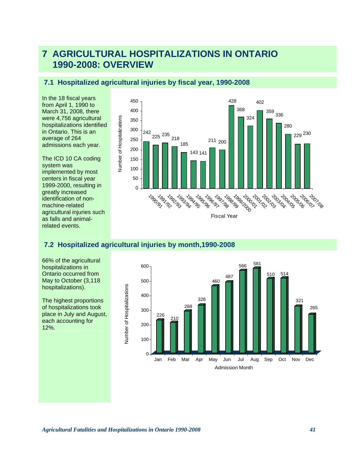# **7 AGRICULTURAL HOSPITALIZATIONS IN ONTARIO 1990-2008: OVERVIEW**

## **7.1 Hospitalized agricultural injuries by fiscal year, 1990-2008**

In the 18 fiscal years from April 1, 1990 to March 31, 2008, there were 4,756 agricultural hospitalizations identified in Ontario. This is an average of 264 admissions each year.

The ICD 10 CA coding system was implemented by most centers in fiscal year 1999-2000, resulting in greatly increased identification of nonmachine-related agricultural injuries such as falls and animalrelated events.



## **7.2 Hospitalized agricultural injuries by month,1990-2008**

66% of the agricultural hospitalizations in Ontario occurred from May to October (3,118 hospitalizations).

The highest proportions of hospitalizations took place in July and August, each accounting for 12%.

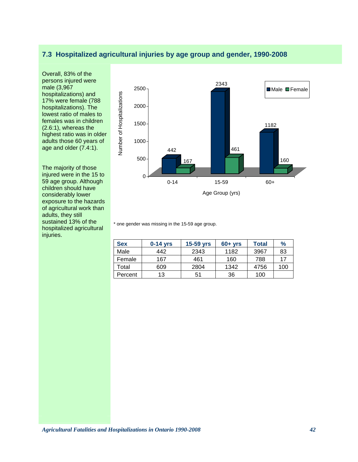## **7.3 Hospitalized agricultural injuries by age group and gender, 1990-2008**

Overall, 83% of the persons injured were male (3,967 hospitalizations) and 17% were female (788 hospitalizations). The lowest ratio of males to females was in children (2.6:1), whereas the highest ratio was in older adults those 60 years of age and older (7.4:1).

The majority of those injured were in the 15 to 59 age group. Although children should have considerably lower exposure to the hazards of agricultural work than adults, they still sustained 13% of the hospitalized agricultural injuries.



\* one gender was missing in the 15-59 age group.

| <b>Sex</b> | $0-14$ yrs | 15-59 yrs | $60+vrs$ | Total | $\%$ |
|------------|------------|-----------|----------|-------|------|
| Male       | 442        | 2343      | 1182     | 3967  | 83   |
| Female     | 167        | 461       | 160      | 788   | 17   |
| Total      | 609        | 2804      | 1342     | 4756  | 100  |
| Percent    | 13         | 51        | 36       | 100   |      |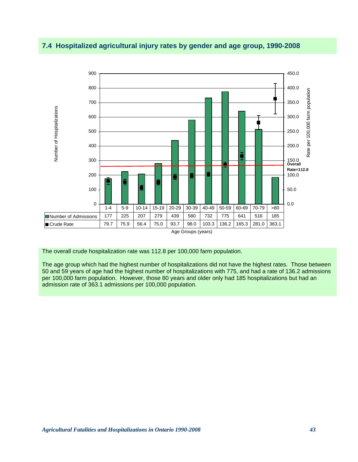## **7.4 Hospitalized agricultural injury rates by gender and age group, 1990-2008**



The overall crude hospitalization rate was 112.8 per 100,000 farm population.

The age group which had the highest number of hospitalizations did not have the highest rates. Those between 50 and 59 years of age had the highest number of hospitalizations with 775, and had a rate of 136.2 admissions per 100,000 farm population. However, those 80 years and older only had 185 hospitalizations but had an admission rate of 363.1 admissions per 100,000 population.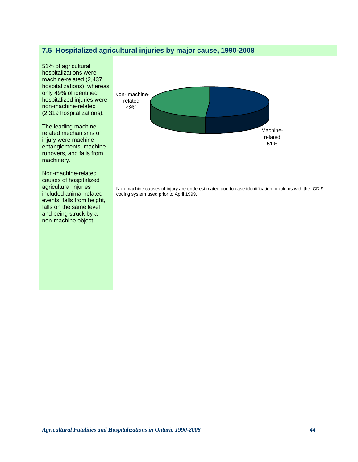## **7.5 Hospitalized agricultural injuries by major cause, 1990-2008**

51% of agricultural hospitalizations were machine-related (2,437 hospitalizations), whereas only 49% of identified hospitalized injuries were non-machine-related (2,319 hospitalizations).

The leading machinerelated mechanisms of injury were machine entanglements, machine runovers, and falls from machinery.

Non-machine-related causes of hospitalized agricultural injuries included animal-related events, falls from height, falls on the same level and being struck by a non-machine object.



Non-machine causes of injury are underestimated due to case identification problems with the ICD 9 coding system used prior to April 1999.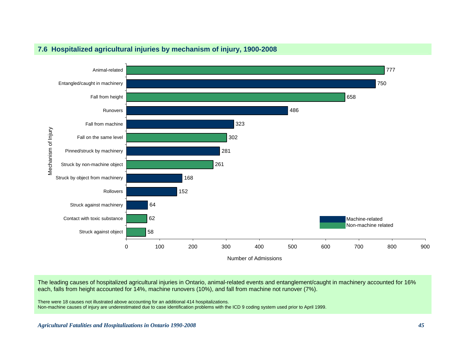

## **7.6 Hospitalized agricultural injuries by mechanism of injury, 1900-2008**

The leading causes of hospitalized agricultural injuries in Ontario, animal-related events and entanglement/caught in machinery accounted for 16% each, falls from height accounted for 14%, machine runovers (10%), and fall from machine not runover (7%).

There were 18 causes not illustrated above accounting for an additional 414 hospitalizations.

Non-machine causes of injury are underestimated due to case identification problems with the ICD 9 coding system used prior to April 1999.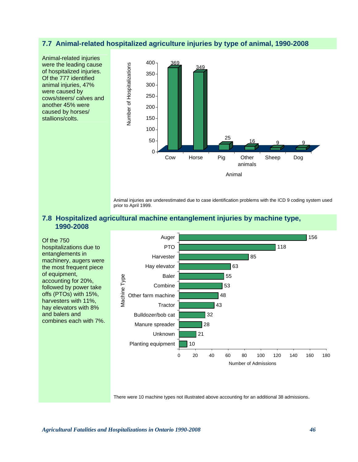#### **7.7 Animal-related hospitalized agriculture injuries by type of animal, 1990-2008**



Animal injuries are underestimated due to case identification problems with the ICD 9 coding system used prior to April 1999.

Animal

Sheep Dog

## **7.8 Hospitalized agricultural machine entanglement injuries by machine type, 1990-2008**



There were 10 machine types not illustrated above accounting for an additional 38 admissions.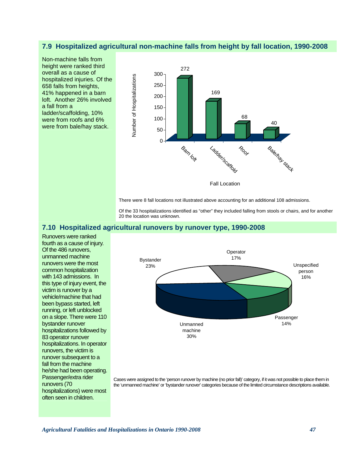## **7.9 Hospitalized agricultural non-machine falls from height by fall location, 1990-2008**

Non-machine falls from height were ranked third overall as a cause of hospitalized injuries. Of the 658 falls from heights, 41% happened in a barn loft. Another 26% involved a fall from a ladder/scaffolding, 10% were from roofs and 6% were from bale/hay stack.



There were 8 fall locations not illustrated above accounting for an additional 108 admissions.

Of the 33 hospitalizations identified as "other" they included falling from stools or chairs, and for another 20 the location was unknown.

#### **7.10 Hospitalized agricultural runovers by runover type, 1990-2008**

Runovers were ranked fourth as a cause of injury. Of the 486 runovers, unmanned machine runovers were the most common hospitalization with 143 admissions. In this type of injury event, the victim is runover by a vehicle/machine that had been bypass started, left running, or left unblocked on a slope. There were 110 bystander runover hospitalizations followed by 83 operator runover hospitalizations. In operator runovers, the victim is runover subsequent to a fall from the machine he/she had been operating. Passenger/extra rider runovers (70 hospitalizations) were most often seen in children.



Cases were assigned to the 'person runover by machine (no prior fall)' category, if it was not possible to place them in the 'unmanned machine' or 'bystander runover' categories because of the limited circumstance descriptions available.

*Agricultural Fatalities and Hospitalizations in Ontario 1990-2008 47*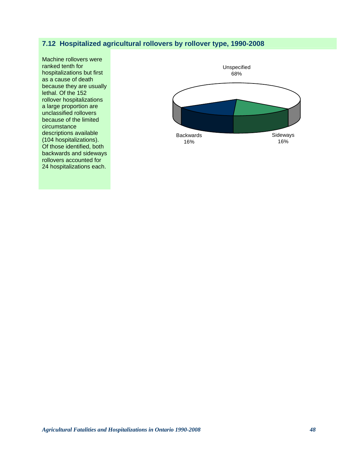## **7.12 Hospitalized agricultural rollovers by rollover type, 1990-2008**

Machine rollovers were ranked tenth for hospitalizations but first as a cause of death because they are usually lethal. Of the 152 rollover hospitalizations a large proportion are unclassified rollovers because of the limited circumstance descriptions available (104 hospitalizations). Of those identified, both backwards and sideways rollovers accounted for 24 hospitalizations each.

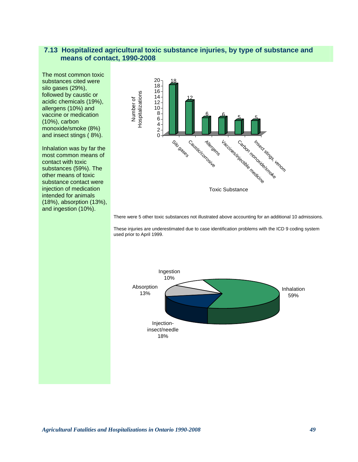#### **7.13 Hospitalized agricultural toxic substance injuries, by type of substance and means of contact, 1990-2008**

The most common toxic substances cited were silo gases (29%), followed by caustic or acidic chemicals (19%), allergens (10%) and vaccine or medication (10%), carbon monoxide/smoke (8%) and insect stings ( 8%).

Inhalation was by far the most common means of contact with toxic substances (59%). The other means of toxic substance contact were injection of medication intended for animals (18%), absorption (13%), and ingestion (10%).



There were 5 other toxic substances not illustrated above accounting for an additional 10 admissions.

These injuries are underestimated due to case identification problems with the ICD 9 coding system used prior to April 1999.

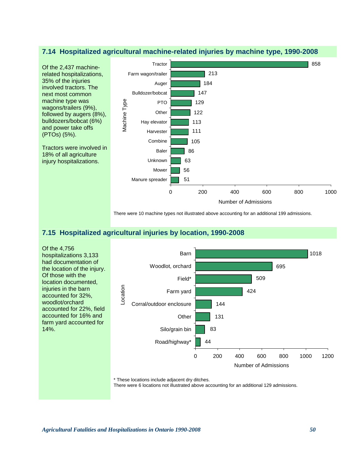#### **7.14 Hospitalized agricultural machine-related injuries by machine type, 1990-2008**



There were 10 machine types not illustrated above accounting for an additional 199 admissions.

## **7.15 Hospitalized agricultural injuries by location, 1990-2008**

Of the 4,756 hospitalizations 3,133 had documentation of the location of the injury. Of those with the location documented, injuries in the barn accounted for 32%, woodlot/orchard accounted for 22%, field accounted for 16% and farm yard accounted for 14%.



\* These locations include adjacent dry ditches.

There were 6 locations not illustrated above accounting for an additional 129 admissions.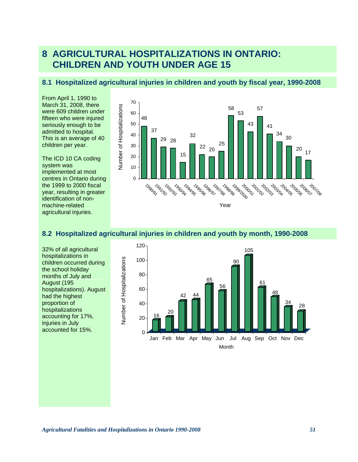# **8 AGRICULTURAL HOSPITALIZATIONS IN ONTARIO: CHILDREN AND YOUTH UNDER AGE 15**

#### **8.1 Hospitalized agricultural injuries in children and youth by fiscal year, 1990-2008**

From April 1, 1990 to March 31, 2008, there were 609 children under fifteen who were injured seriously enough to be admitted to hospital. This is an average of 40 children per year.

The ICD 10 CA coding system was implemented at most centres in Ontario during the 1999 to 2000 fiscal year, resulting in greater identification of nonmachine-related agricultural injuries.



## **8.2 Hospitalized agricultural injuries in children and youth by month, 1990-2008**

32% of all agricultural hospitalizations in children occurred during the school holiday months of July and August (195 hospitalizations). August had the highest proportion of hospitalizations accounting for 17%, injuries in July accounted for 15%.

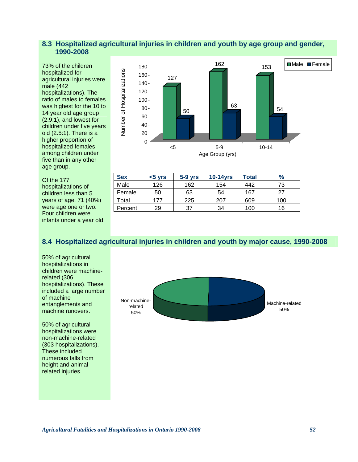## **8.3 Hospitalized agricultural injuries in children and youth by age group and gender, 1990-2008**

73% of the children hospitalized for agricultural injuries were male (442 hospitalizations). The ratio of males to females was highest for the 10 to 14 year old age group (2.9:1), and lowest for children under five years old (2.5:1). There is a higher proportion of hospitalized females among children under five than in any other age group.

Of the 177 hospitalizations of children less than 5 years of age, 71 (40%) were age one or two. Four children were infants under a year old.



| <b>Sex</b> | $< 5$ yrs | $5-9$ yrs | $10-14$ yrs | Total | $\%$ |
|------------|-----------|-----------|-------------|-------|------|
| Male       | 126       | 162       | 154         | 442   | 73   |
| Female     | 50        | 63        | 54          | 167   | 27   |
| Total      | 177       | 225       | 207         | 609   | 100  |
| Percent    | 29        | 37        | 34          | 100   | 16   |

## **8.4 Hospitalized agricultural injuries in children and youth by major cause, 1990-2008**

50% of agricultural hospitalizations in children were machinerelated (306 hospitalizations). These included a large number of machine entanglements and machine runovers.

50% of agricultural hospitalizations were non-machine-related (303 hospitalizations). These included numerous falls from height and animalrelated injuries.

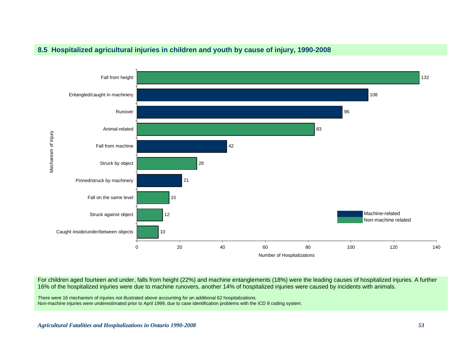



For children aged fourteen and under, falls from height (22%) and machine entanglements (18%) were the leading causes of hospitalized injuries. A further 16% of the hospitalized injuries were due to machine runovers, another 14% of hospitalized injuries were caused by incidents with animals.

There were 16 mechanism of injuries not illustrated above accounting for an additional 62 hospitalizations. Non-machine injuries were underestimated prior to April 1999, due to case identification problems with the ICD 9 coding system.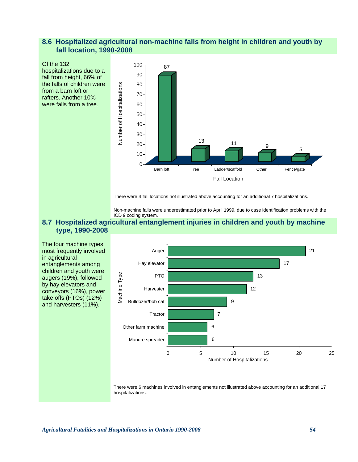## **8.6 Hospitalized agricultural non-machine falls from height in children and youth by fall location, 1990-2008**



There were 4 fall locations not illustrated above accounting for an additional 7 hospitalizations.

Non-machine falls were underestimated prior to April 1999, due to case identification problems with the ICD 9 coding system.

#### **8.7 Hospitalized agricultural entanglement injuries in children and youth by machine type, 1990-2008**

The four machine types most frequently involved in agricultural entanglements among children and youth were augers (19%), followed by hay elevators and conveyors (16%), power take offs (PTOs) (12%) and harvesters (11%).



There were 6 machines involved in entanglements not illustrated above accounting for an additional 17 hospitalizations.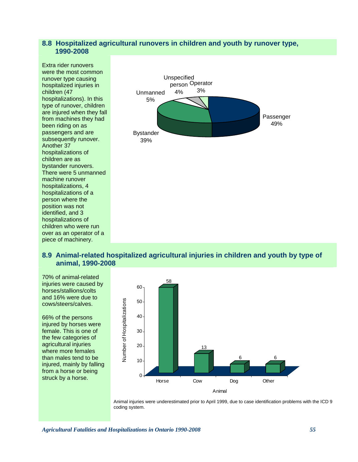#### **8.8 Hospitalized agricultural runovers in children and youth by runover type, 1990-2008**



#### **8.9 Animal-related hospitalized agricultural injuries in children and youth by type of animal, 1990-2008**

70% of animal-related injuries were caused by horses/stallions/colts and 16% were due to cows/steers/calves.

66% of the persons injured by horses were female. This is one of the few categories of agricultural injuries where more females than males tend to be injured, mainly by falling from a horse or being struck by a horse.



Animal injuries were underestimated prior to April 1999, due to case identification problems with the ICD 9 coding system.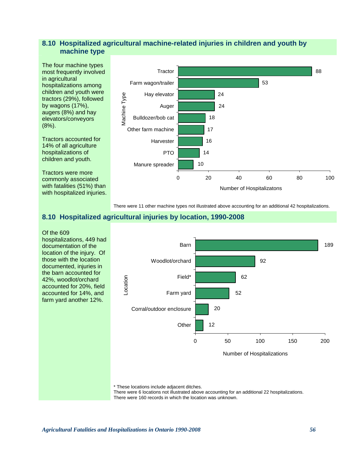## **8.10 Hospitalized agricultural machine-related injuries in children and youth by machine type**



There were 11 other machine types not illustrated above accounting for an additional 42 hospitalizations.

## **8.10 Hospitalized agricultural injuries by location, 1990-2008**



\* These locations include adjacent ditches.

There were 6 locations not illustrated above accounting for an additional 22 hospitalizations. There were 160 records in which the location was unknown.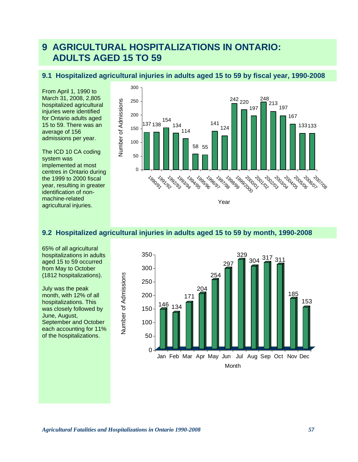# **9 AGRICULTURAL HOSPITALIZATIONS IN ONTARIO: ADULTS AGED 15 TO 59**

## **9.1 Hospitalized agricultural injuries in adults aged 15 to 59 by fiscal year, 1990-2008**

From April 1, 1990 to March 31, 2008, 2,805 hospitalized agricultural injuries were identified for Ontario adults aged 15 to 59. There was an average of 156 admissions per year.

The ICD 10 CA coding system was implemented at most centres in Ontario during the 1999 to 2000 fiscal year, resulting in greater identification of nonmachine-related agricultural injuries.



## **9.2 Hospitalized agricultural injuries in adults aged 15 to 59 by month, 1990-2008**

65% of all agricultural hospitalizations in adults aged 15 to 59 occurred from May to October (1812 hospitalizations).

July was the peak month, with 12% of all hospitalizations. This was closely followed by June, August, September and October each accounting for 11% of the hospitalizations.

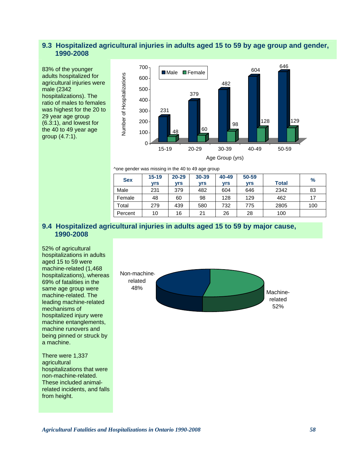### **9.3 Hospitalized agricultural injuries in adults aged 15 to 59 by age group and gender, 1990-2008**

83% of the younger adults hospitalized for agricultural injuries were male (2342 hospitalizations). The ratio of males to females was highest for the 20 to 29 year age group (6.3:1), and lowest for the 40 to 49 year age group (4.7:1).



^one gender was missing in the 40 to 49 age group

| <b>Sex</b> | $15 - 19$<br>vrs | $20 - 29$<br>vrs | 30-39<br><b>vrs</b> | 40-49<br>vrs | 50-59<br>vrs | <b>Total</b> | $\frac{9}{6}$ |
|------------|------------------|------------------|---------------------|--------------|--------------|--------------|---------------|
| Male       | 231              | 379              | 482                 | 604          | 646          | 2342         | 83            |
| Female     | 48               | 60               | 98                  | 128          | 129          | 462          | 17            |
| Total      | 279              | 439              | 580                 | 732          | 775          | 2805         | 100           |
| Percent    | 10               | 16               | 21                  | 26           | 28           | 100          |               |

## **9.4 Hospitalized agricultural injuries in adults aged 15 to 59 by major cause, 1990-2008**

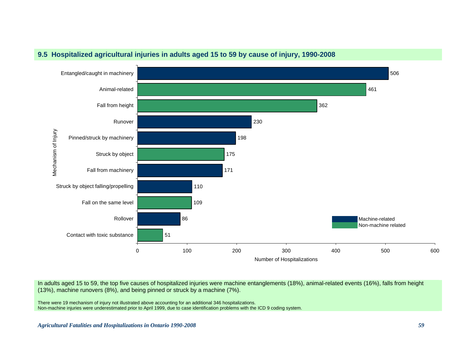

## **9.5 Hospitalized agricultural injuries in adults aged 15 to 59 by cause of injury, 1990-2008**

In adults aged 15 to 59, the top five causes of hospitalized injuries were machine entanglements (18%), animal-related events (16%), falls from height (13%), machine runovers (8%), and being pinned or struck by a machine (7%).

There were 19 mechanism of injury not illustrated above accounting for an additional 346 hospitalizations. Non-machine injuries were underestimated prior to April 1999, due to case identification problems with the ICD 9 coding system.

*Agricultural Fatalities and Hospitalizations in Ontario 1990-2008 59*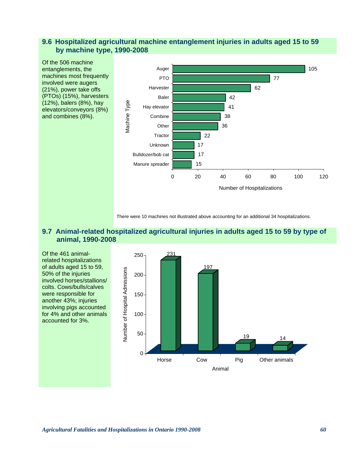## **9.6 Hospitalized agricultural machine entanglement injuries in adults aged 15 to 59 by machine type, 1990-2008**



There were 10 machines not illustrated above accounting for an additional 34 hospitalizations.

#### **9.7 Animal-related hospitalized agricultural injuries in adults aged 15 to 59 by type of animal, 1990-2008**

Of the 461 animalrelated hospitalizations of adults aged 15 to 59, 50% of the injuries involved horses/stallions/ colts. Cows/bulls/calves were responsible for another 43%; injuries involving pigs accounted for 4% and other animals accounted for 3%.

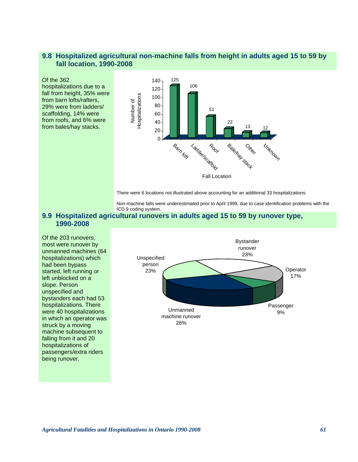## **9.8 Hospitalized agricultural non-machine falls from height in adults aged 15 to 59 by fall location, 1990-2008**

#### Of the 362

hospitalizations due to a fall from height, 35% were from barn lofts/rafters, 29% were from ladders/ scaffolding, 14% were from roofs, and 6% were from bales/hay stacks.



There were 6 locations not illustrated above accounting for an additional 33 hospitalizations.

Non-machine falls were underestimated prior to April 1999, due to case identification problems with the ICD 9 coding system.

#### **9.9 Hospitalized agricultural runovers in adults aged 15 to 59 by runover type, 1990-2008**

Of the 203 runovers, most were runover by unmanned machines (64 hospitalizations) which had been bypass started, left running or left unblocked on a slope. Person unspecified and bystanders each had 53 hospitalizations. There were 40 hospitalizations in which an operator was struck by a moving machine subsequent to falling from it and 20 hospitalizations of passengers/extra riders being runover.

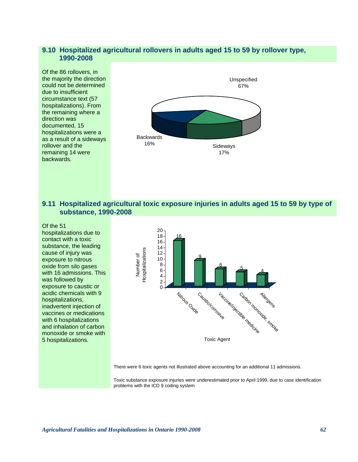#### **9.10 Hospitalized agricultural rollovers in adults aged 15 to 59 by rollover type, 1990-2008**

Of the 86 rollovers, in the majority the direction could not be determined due to insufficient circumstance text (57 hospitalizations). From the remaining where a direction was documented, 15 hospitalizations were a as a result of a sideways rollover and the remaining 14 were backwards.



#### **9.11 Hospitalized agricultural toxic exposure injuries in adults aged 15 to 59 by type of substance, 1990-2008**

Of the 51

hospitalizations due to contact with a toxic substance, the leading cause of injury was exposure to nitrous oxide from silo gases with 16 admissions. This was followed by exposure to caustic or acidic chemicals with 9 hospitalizations, inadvertent injection of vaccines or medications with 6 hospitalizations and inhalation of carbon monoxide or smoke with 5 hospitalizations.



There were 6 toxic agents not illustrated above accounting for an additional 11 admissions.

Toxic substance exposure injuries were underestimated prior to April 1999, due to case identification problems with the ICD 9 coding system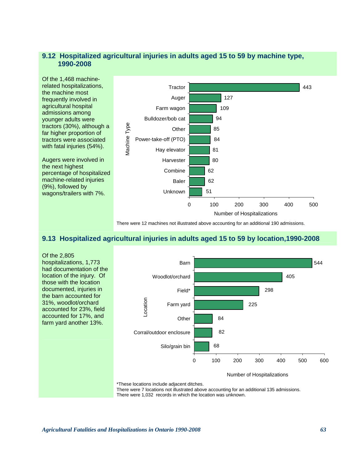## **9.12 Hospitalized agricultural injuries in adults aged 15 to 59 by machine type, 1990-2008**

Of the 1,468 machinerelated hospitalizations, the machine most frequently involved in agricultural hospital admissions among younger adults were tractors (30%), although a far higher proportion of tractors were associated with fatal injuries (54%).

Augers were involved in the next highest percentage of hospitalized machine-related injuries (9%), followed by wagons/trailers with 7%.



There were 12 machines not illustrated above accounting for an additional 190 admissions.

## **9.13 Hospitalized agricultural injuries in adults aged 15 to 59 by location,1990-2008**

Of the 2,805 hospitalizations, 1,773 had documentation of the location of the injury. Of those with the location documented, injuries in the barn accounted for 31%, woodlot/orchard accounted for 23%, field accounted for 17%, and farm yard another 13%. 544 68 82 84 225 298 405 0 100 200 300 400 500 600 Silo/grain bin Corral/outdoor enclosure **Other** Farm yard Field\* Woodlot/orchard Barn Location Number of Hospitalizations

\*These locations include adjacent ditches.

There were 7 locations not illustrated above accounting for an additional 135 admissions. There were 1,032 records in which the location was unknown.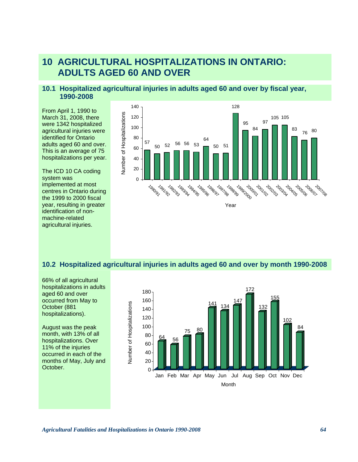# **10 AGRICULTURAL HOSPITALIZATIONS IN ONTARIO: ADULTS AGED 60 AND OVER**

## **10.1 Hospitalized agricultural injuries in adults aged 60 and over by fiscal year, 1990-2008**

From April 1, 1990 to March 31, 2008, there were 1342 hospitalized agricultural injuries were identified for Ontario adults aged 60 and over. This is an average of 75 hospitalizations per year.

The ICD 10 CA coding system was implemented at most centres in Ontario during the 1999 to 2000 fiscal year, resulting in greater identification of nonmachine-related agricultural injuries.



### **10.2 Hospitalized agricultural injuries in adults aged 60 and over by month 1990-2008**

66% of all agricultural hospitalizations in adults aged 60 and over occurred from May to October (881 hospitalizations).

August was the peak month, with 13% of all hospitalizations. Over 11% of the injuries occurred in each of the months of May, July and October.

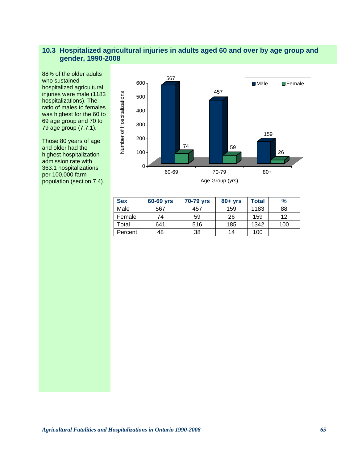# **10.3 Hospitalized agricultural injuries in adults aged 60 and over by age group and gender, 1990-2008**

88% of the older adults who sustained hospitalized agricultural injuries were male (1183 hospitalizations). The ratio of males to females was highest for the 60 to 69 age group and 70 to 79 age group (7.7:1).

Those 80 years of age and older had the highest hospitalization admission rate with 363.1 hospitalizations per 100,000 farm population (section 7.4).



| <b>Sex</b> | 60-69 yrs | 70-79 yrs | $80 + yrs$ | Total | $\frac{9}{6}$ |
|------------|-----------|-----------|------------|-------|---------------|
| Male       | 567       | 457       | 159        | 1183  | 88            |
| Female     | 74        | 59        | 26         | 159   | 12            |
| Total      | 641       | 516       | 185        | 1342  | 100           |
| Percent    | 48        | 38        | 14         | 100   |               |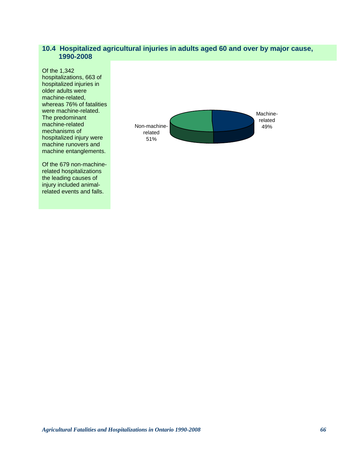## **10.4 Hospitalized agricultural injuries in adults aged 60 and over by major cause, 1990-2008**

Of the 1,342 hospitalizations, 663 of hospitalized injuries in older adults were machine-related, whereas 76% of fatalities were machine-related. The predominant machine-related mechanisms of hospitalized injury were machine runovers and machine entanglements.

Of the 679 non-machinerelated hospitalizations the leading causes of injury included animalrelated events and falls.

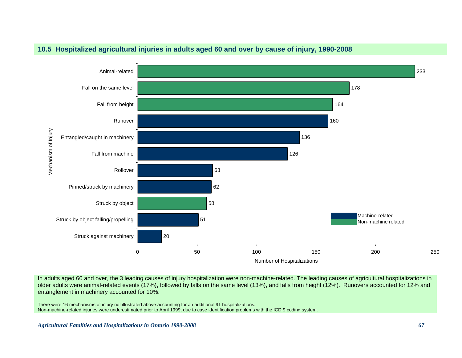

## **10.5 Hospitalized agricultural injuries in adults aged 60 and over by cause of injury, 1990-2008**

In adults aged 60 and over, the 3 leading causes of injury hospitalization were non-machine-related. The leading causes of agricultural hospitalizations in older adults were animal-related events (17%), followed by falls on the same level (13%), and falls from height (12%). Runovers accounted for 12% and entanglement in machinery accounted for 10%.

There were 16 mechanisms of injury not illustrated above accounting for an additional 91 hospitalizations. Non-machine-related injuries were underestimated prior to April 1999, due to case identification problems with the ICD 9 coding system.

*Agricultural Fatalities and Hospitalizations in Ontario 1990-2008 67*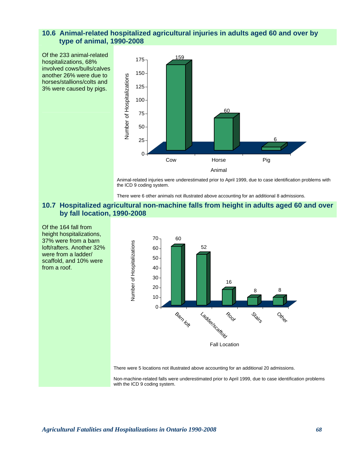# **10.6 Animal-related hospitalized agricultural injuries in adults aged 60 and over by type of animal, 1990-2008**

Of the 233 animal-related hospitalizations, 68% involved cows/bulls/calves another 26% were due to horses/stallions/colts and 3% were caused by pigs.



Animal-related injuries were underestimated prior to April 1999, due to case identification problems with the ICD 9 coding system.

There were 6 other animals not illustrated above accounting for an additional 8 admissions.

## **10.7 Hospitalized agricultural non-machine falls from height in adults aged 60 and over by fall location, 1990-2008**

Of the 164 fall from height hospitalizations, 37% were from a barn loft/rafters. Another 32% were from a ladder/ scaffold, and 10% were from a roof.



There were 5 locations not illustrated above accounting for an additional 20 admissions.

Non-machine-related falls were underestimated prior to April 1999, due to case identification problems with the ICD 9 coding system.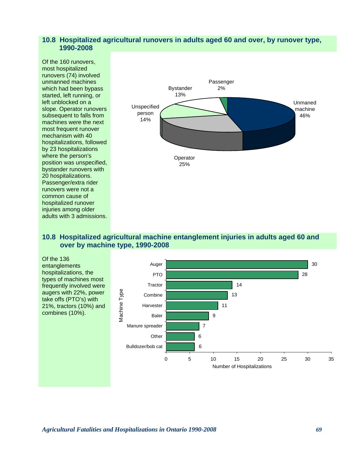## **10.8 Hospitalized agricultural runovers in adults aged 60 and over, by runover type, 1990-2008**

Of the 160 runovers, most hospitalized runovers (74) involved unmanned machines which had been bypass started, left running, or left unblocked on a slope. Operator runovers subsequent to falls from machines were the next most frequent runover mechanism with 40 hospitalizations, followed by 23 hospitalizations where the person's position was unspecified, bystander runovers with 20 hospitalizations. Passenger/extra rider runovers were not a common cause of hospitalized runover injuries among older adults with 3 admissions.



## **10.8 Hospitalized agricultural machine entanglement injuries in adults aged 60 and over by machine type, 1990-2008**

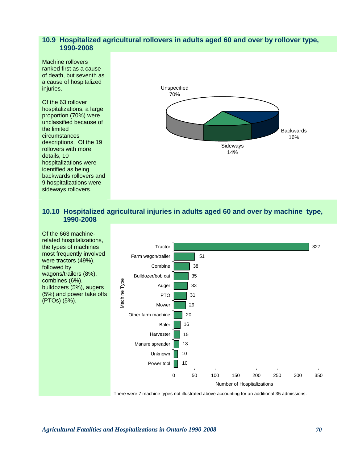## **10.9 Hospitalized agricultural rollovers in adults aged 60 and over by rollover type, 1990-2008**

Machine rollovers ranked first as a cause of death, but seventh as a cause of hospitalized injuries.

Of the 63 rollover hospitalizations, a large proportion (70%) were unclassified because of the limited circumstances descriptions. Of the 19 rollovers with more details, 10 hospitalizations were identified as being backwards rollovers and 9 hospitalizations were sideways rollovers.



# **10.10 Hospitalized agricultural injuries in adults aged 60 and over by machine type, 1990-2008**

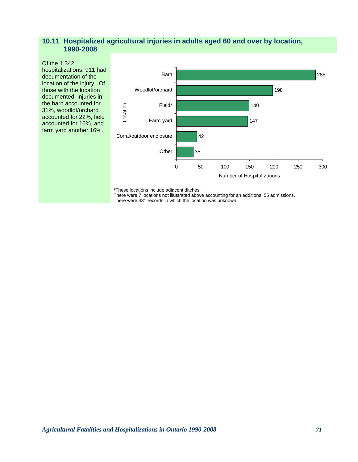## **10.11 Hospitalized agricultural injuries in adults aged 60 and over by location, 1990-2008**

Of the 1,342 hospitalizations, 911 had documentation of the location of the injury. Of those with the location documented, injuries in the barn accounted for 31%, woodlot/orchard accounted for 22%, field accounted for 16%, and farm yard another 16%.



\*These locations include adjacent ditches.

There were 7 locations not illustrated above accounting for an additional 55 admissions.

There were 431 records in which the location was unknown.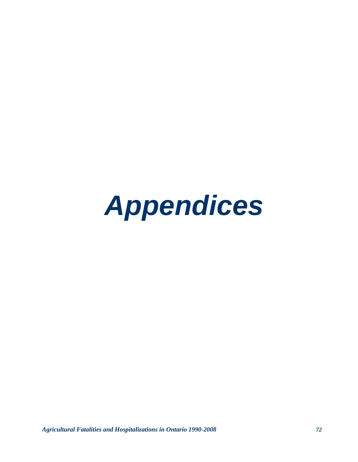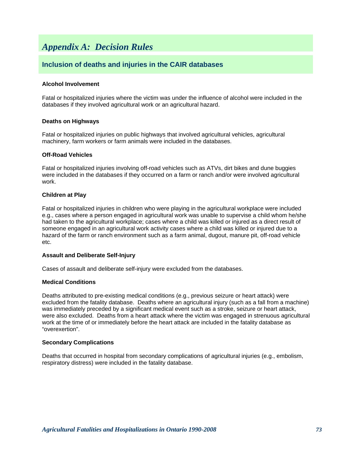# *Appendix A: Decision Rules*

# **Inclusion of deaths and injuries in the CAIR databases**

#### **Alcohol Involvement**

Fatal or hospitalized injuries where the victim was under the influence of alcohol were included in the databases if they involved agricultural work or an agricultural hazard.

#### **Deaths on Highways**

Fatal or hospitalized injuries on public highways that involved agricultural vehicles, agricultural machinery, farm workers or farm animals were included in the databases.

#### **Off-Road Vehicles**

Fatal or hospitalized injuries involving off-road vehicles such as ATVs, dirt bikes and dune buggies were included in the databases if they occurred on a farm or ranch and/or were involved agricultural work.

#### **Children at Play**

Fatal or hospitalized injuries in children who were playing in the agricultural workplace were included e.g., cases where a person engaged in agricultural work was unable to supervise a child whom he/she had taken to the agricultural workplace; cases where a child was killed or injured as a direct result of someone engaged in an agricultural work activity cases where a child was killed or injured due to a hazard of the farm or ranch environment such as a farm animal, dugout, manure pit, off-road vehicle etc.

#### **Assault and Deliberate Self-Injury**

Cases of assault and deliberate self-injury were excluded from the databases.

#### **Medical Conditions**

Deaths attributed to pre-existing medical conditions (e.g., previous seizure or heart attack) were excluded from the fatality database. Deaths where an agricultural injury (such as a fall from a machine) was immediately preceded by a significant medical event such as a stroke, seizure or heart attack, were also excluded. Deaths from a heart attack where the victim was engaged in strenuous agricultural work at the time of or immediately before the heart attack are included in the fatality database as "overexertion".

#### **Secondary Complications**

Deaths that occurred in hospital from secondary complications of agricultural injuries (e.g., embolism, respiratory distress) were included in the fatality database.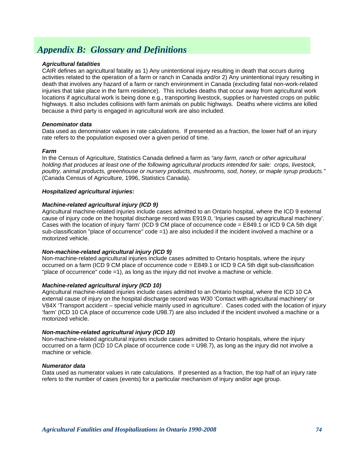# *Appendix B: Glossary and Definitions*

## *Agricultural fatalities*

CAIR defines an agricultural fatality as 1) Any unintentional injury resulting in death that occurs during activities related to the operation of a farm or ranch in Canada and/or 2) Any unintentional injury resulting in death that involves any hazard of a farm or ranch environment in Canada (excluding fatal non-work-related injuries that take place in the farm residence). This includes deaths that occur away from agricultural work locations if agricultural work is being done e.g., transporting livestock, supplies or harvested crops on public highways. It also includes collisions with farm animals on public highways. Deaths where victims are killed because a third party is engaged in agricultural work are also included.

## *Denominator data*

Data used as denominator values in rate calculations. If presented as a fraction, the lower half of an injury rate refers to the population exposed over a given period of time.

## *Farm*

In the Census of Agriculture, Statistics Canada defined a farm as *"any farm, ranch or other agricultural holding that produces at least one of the following agricultural products intended for sale: crops, livestock, poultry, animal products, greenhouse or nursery products, mushrooms, sod, honey, or maple syrup products."* (Canada Census of Agriculture, 1996, Statistics Canada).

#### *Hospitalized agricultural injuries:*

## *Machine-related agricultural injury (ICD 9)*

Agricultural machine-related injuries include cases admitted to an Ontario hospital, where the ICD 9 external cause of injury code on the hospital discharge record was E919.0, 'Injuries caused by agricultural machinery'. Cases with the location of injury 'farm' (ICD 9 CM place of occurrence code = E849.1 or ICD 9 CA 5th digit sub-classification "place of occurrence" code =1) are also included if the incident involved a machine or a motorized vehicle.

#### *Non-machine-related agricultural injury (ICD 9)*

Non-machine-related agricultural injuries include cases admitted to Ontario hospitals, where the injury occurred on a farm (ICD 9 CM place of occurrence code = E849.1 or ICD 9 CA 5th digit sub-classification "place of occurrence" code =1), as long as the injury did not involve a machine or vehicle.

#### *Machine-related agricultural injury (ICD 10)*

Agricultural machine-related injuries include cases admitted to an Ontario hospital, where the ICD 10 CA external cause of injury on the hospital discharge record was W30 'Contact with agricultural machinery' or V84X 'Transport accident – special vehicle mainly used in agriculture'. Cases coded with the location of injury 'farm' (ICD 10 CA place of occurrence code U98.7) are also included if the incident involved a machine or a motorized vehicle.

#### *Non-machine-related agricultural injury (ICD 10)*

Non-machine-related agricultural injuries include cases admitted to Ontario hospitals, where the injury occurred on a farm (ICD 10 CA place of occurrence code = U98.7), as long as the injury did not involve a machine or vehicle.

#### *Numerator data*

Data used as numerator values in rate calculations. If presented as a fraction, the top half of an injury rate refers to the number of cases (events) for a particular mechanism of injury and/or age group.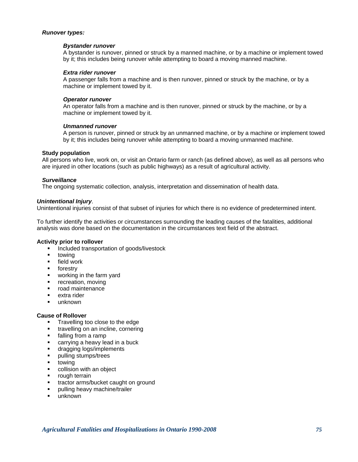## *Runover types:*

#### *Bystander runover*

A bystander is runover, pinned or struck by a manned machine, or by a machine or implement towed by it; this includes being runover while attempting to board a moving manned machine.

#### *Extra rider runover*

A passenger falls from a machine and is then runover, pinned or struck by the machine, or by a machine or implement towed by it.

## *Operator runover*

An operator falls from a machine and is then runover, pinned or struck by the machine, or by a machine or implement towed by it.

## *Unmanned runover*

A person is runover, pinned or struck by an unmanned machine, or by a machine or implement towed by it; this includes being runover while attempting to board a moving unmanned machine.

## **Study population**

All persons who live, work on, or visit an Ontario farm or ranch (as defined above), as well as all persons who are injured in other locations (such as public highways) as a result of agricultural activity.

## *Surveillance*

The ongoing systematic collection, analysis, interpretation and dissemination of health data.

## *Unintentional Injury*.

Unintentional injuries consist of that subset of injuries for which there is no evidence of predetermined intent.

To further identify the activities or circumstances surrounding the leading causes of the fatalities, additional analysis was done based on the documentation in the circumstances text field of the abstract.

#### **Activity prior to rollover**

- **Included transportation of goods/livestock**
- towing
- **Field work**
- **forestry**<br>• working
- working in the farm yard
- **•** recreation, moving
- road maintenance
- $\blacksquare$  extra rider
- unknown

#### **Cause of Rollover**

- **Travelling too close to the edge**
- **travelling on an incline, cornering**
- **falling from a ramp**
- **Example 2** carrying a heavy lead in a buck
- **dragging logs/implements**
- **pulling stumps/trees**
- **•** towing
- collision with an object
- rough terrain
- tractor arms/bucket caught on ground
- pulling heavy machine/trailer
- unknown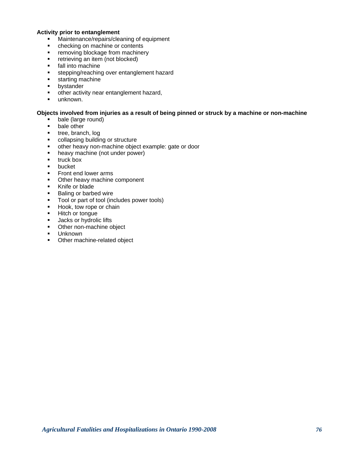#### **Activity prior to entanglement**

- **Maintenance/repairs/cleaning of equipment**
- checking on machine or contents
- **F** removing blockage from machinery
- **F** retrieving an item (not blocked)
- **fall into machine**
- **stepping/reaching over entanglement hazard**
- **starting machine**
- **•** bystander
- other activity near entanglement hazard,
- **unknown.**

## **Objects involved from injuries as a result of being pinned or struck by a machine or non-machine**

- bale (large round)
- **bale other**
- **tree, branch, log**
- collapsing building or structure
- other heavy non-machine object example: gate or door
- heavy machine (not under power)
- $\blacksquare$  truck box
- **•** bucket
- **Front end lower arms**
- Other heavy machine component
- **Knife or blade**
- **Baling or barbed wire**
- **Tool or part of tool (includes power tools)**
- Hook, tow rope or chain
- **Hitch or tongue**
- **Jacks or hydrolic lifts**
- Other non-machine object
- **Unknown**
- **•** Other machine-related object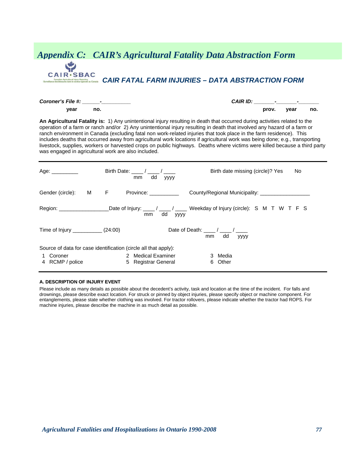# *Appendix C: CAIR's Agricultural Fatality Data Abstraction Form* **CAIR** · SBAC *CAIR FATAL FARM INJURIES – DATA ABSTRACTION FORM* cultural Injury Reporting<br>dans le secteur agricole en Canada

*Coroner's File #: \_\_\_\_\_\_-\_\_\_\_\_\_\_\_\_\_ CAIR ID: \_\_\_\_\_\_\_-\_\_\_\_\_\_\_-\_\_\_\_\_\_\_*   **year no. prov. year no.** 

**An Agricultural Fatality is:** 1) Any unintentional injury resulting in death that occurred during activities related to the operation of a farm or ranch and/or 2) Any unintentional injury resulting in death that involved any hazard of a farm or ranch environment in Canada (excluding fatal non work-related injuries that took place in the farm residence). This includes deaths that occurred away from agricultural work locations if agricultural work was being done; e.g., transporting livestock, supplies, workers or harvested crops on public highways. Deaths where victims were killed because a third party was engaged in agricultural work are also included.

| Age: _________                       | Birth Date: / /<br>dd<br>mm<br><b>YYYY</b>                      | Birth date missing (circle)? Yes<br>No.                                               |
|--------------------------------------|-----------------------------------------------------------------|---------------------------------------------------------------------------------------|
| Gender (circle): M F                 | Province: ___________                                           | County/Regional Municipality:                                                         |
|                                      | dd<br>mm<br><b>YYYY</b>                                         | _Date of Injury: ____/ ____/ ____ Weekday of Injury (circle): S M T W T F S           |
| Time of Injury _____________ (24:00) |                                                                 | Date of Death: $\frac{1}{\sqrt{2}}$ / $\frac{1}{\sqrt{2}}$<br>dd<br>mm<br><b>VVVV</b> |
|                                      | Source of data for case identification (circle all that apply): |                                                                                       |
| Coroner<br>1<br>4 RCMP / police      | 2 Medical Examiner<br>5 Registrar General                       | Media<br>3<br>Other<br>6.                                                             |

#### **A. DESCRIPTION OF INJURY EVENT**

Please include as many details as possible about the decedent's activity, task and location at the time of the incident. For falls and drownings, please describe exact location. For struck or pinned by object injuries, please specify object or machine component. For entanglements, please state whether clothing was involved. For tractor rollovers, please indicate whether the tractor had ROPS. For machine injuries, please describe the machine in as much detail as possible.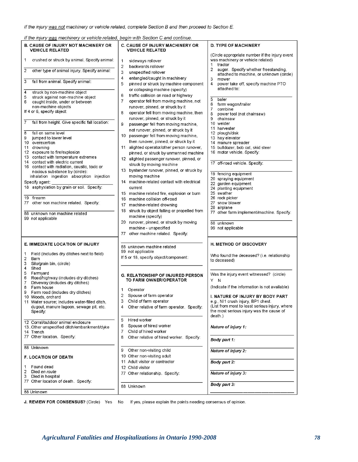#### If the injury was not machinery or vehicle related, complete Section B and then proceed to Section E.

If the injury was machinery or vehicle related, begin with Section C and continue.

| <b>B. CAUSE OF INJURY NOT MACHINERY OR</b><br><b>VEHICLE RELATED</b>                                                                                                                                                                                                                                                                                                                                                                                                                                                                                                      | <b>C. CAUSE OF INJURY MACHINERY OR</b><br><b>VEHICLE RELATED</b>                                                                                                                                                                                                                                                                                                                                                                                                                                                                                                                                                           | <b>D. TYPE OF MACHINERY</b>                                                                                                                                                                                                                                                                                                                           |
|---------------------------------------------------------------------------------------------------------------------------------------------------------------------------------------------------------------------------------------------------------------------------------------------------------------------------------------------------------------------------------------------------------------------------------------------------------------------------------------------------------------------------------------------------------------------------|----------------------------------------------------------------------------------------------------------------------------------------------------------------------------------------------------------------------------------------------------------------------------------------------------------------------------------------------------------------------------------------------------------------------------------------------------------------------------------------------------------------------------------------------------------------------------------------------------------------------------|-------------------------------------------------------------------------------------------------------------------------------------------------------------------------------------------------------------------------------------------------------------------------------------------------------------------------------------------------------|
| crushed or struck by animal. Specify animal:<br>1<br>$\overline{c}$<br>other type of animal injury. Specify animal:<br>3<br>fall from animal. Specify animal:                                                                                                                                                                                                                                                                                                                                                                                                             | 1<br>sideways rollover<br>2<br>backwards rollover<br>3<br>unspecified rollover<br>4<br>entangled/caught in machinery<br>5<br>pinned or struck by machine component<br>or collapsing machine (specify)                                                                                                                                                                                                                                                                                                                                                                                                                      | (Circle appropriate number if the injury event<br>was machinery or vehicle related)<br>tractor<br>1<br>2<br>auger. Specify whether freestanding,<br>attached to machine, or unknown (circle)<br>3<br>mower<br>4<br>power take off, specify machine PTO<br>attached to:                                                                                |
| 4<br>struck by non-machine object<br>5<br>struck against non-machine object<br>6<br>caught inside, under or between<br>non-machine objects<br>If 4 or 6, specify object:<br>7<br>fall from height. Give specific fall location:<br>8<br>fall on same level<br>9<br>jumped to lower level<br>10 overexertion<br>11<br>drowning<br>12 exposure to fire/explosion<br>13 contact with temperature extremes<br>14 contact with electric current<br>16 contact with radiation, caustic, toxic or<br>noxious substance by (circle):<br>inhalation ingestion absorption injection | 6<br>traffic collision on road or highway<br>7<br>operator fell from moving machine, not<br>runover, pinned, or struck by it<br>operator fell from moving machine, then<br>8<br>runover, pinned, or struck by it<br>9<br>passenger fell from moving machine,<br>not runover, pinned, or struck by it<br>10<br>passenger fell from moving machine,<br>then runover, pinned, or struck by it<br>11 alighted operator/other person runover,<br>pinned, or struck by unmanned machine<br>12 alighted passenger runover, pinned, or<br>struck by moving machine<br>13 bystander runover, pinned, or struck by<br>moving machine | 5<br>baler<br>6<br>farm wagon/trailer<br>7<br>combine<br>power tool (not chainsaw)<br>8<br>9<br>chainsaw<br>10 welder<br>11 harvester<br>12 plough/disk<br>13 hay elevator<br>14 manure spreader<br>15 bulldozer, bob cat, skid steer<br>16 motor vehicle. Specify:<br>17 off-road vehicle. Specify:<br>19 fencing equipment<br>20 spraying equipment |
| Specify agent:<br>18 asphyxiation by grain or soil. Specify:<br>19 firearm<br>77 other non machine related. Specify:<br>88 unknown non machine related<br>99 not applicable                                                                                                                                                                                                                                                                                                                                                                                               | 14 machine-related contact with electrical<br>current<br>15 machine related fire, explosion or burn<br>machine collision off-road<br>16<br>17<br>machine-related drowning<br>struck by object falling or propelled from<br>18<br>machine (specify)<br>20 runover, pinned, or struck by moving<br>machine - unspecified<br>other machine related. Specify:<br>77                                                                                                                                                                                                                                                            | 22 garden equipment<br>24 planting equipment<br>25 swather<br>26 rock picker<br>27 snow blower<br>28 airplane<br>77 other farm implement/machine. Specify:<br>88 unknown<br>99 not applicable                                                                                                                                                         |
| <b>E. IMMEDIATE LOCATION OF INJURY</b><br>Field (includes dry ditches next to field)<br>1<br>2<br>Barn<br>3<br>Silo/grain bin, (circle)<br>4<br>Shed                                                                                                                                                                                                                                                                                                                                                                                                                      | 88 unknown machine related<br>99 not applicable<br>If 5 or 18, specify object/component:                                                                                                                                                                                                                                                                                                                                                                                                                                                                                                                                   | H. METHOD OF DISCOVERY<br>Who found the deceased? (i.e. relationship<br>to deceased)                                                                                                                                                                                                                                                                  |
| 5<br>Farmyard<br>6<br>Road/highway (includes dry ditches)<br>$\overline{7}$<br>Driveway (includes dry ditches)<br>8<br>Farm house<br>9<br>Farm road (includes dry ditches)<br>10 Woods, orchard<br>11 Water source; includes water-filled ditch<br>dugout, manure lagoon, sewage pit, etc.<br>Specify:                                                                                                                                                                                                                                                                    | <b>G. RELATIONSHIP OF INJURED PERSON</b><br>TO FARM OWNER/OPERATOR<br>1<br>Operator<br>2<br>Spouse of farm operator<br>3<br>Child of farm operator<br>Other relative of farm operator. Specify:<br>4                                                                                                                                                                                                                                                                                                                                                                                                                       | Was the injury event witnessed? (circle)<br>Y N<br>(Indicate if the information is not available)<br>I. NATURE OF INJURY BY BODY PART<br>e.g., NI1 crush injury, BP1 chest.<br>(List from most to least serious injury, where<br>the most serious injury was the cause of<br>death.)                                                                  |
| 12 Corral/outdoor animal enclosure<br>13. Other unspecified ditch/embankment/dyke<br>14 Trench<br>77 Other location. Specify:                                                                                                                                                                                                                                                                                                                                                                                                                                             | 5<br>Hired worker<br>6<br>Spouse of hired worker<br>Child of hired worker<br>7<br>8<br>Other relative of hired worker. Specify:                                                                                                                                                                                                                                                                                                                                                                                                                                                                                            | Nature of injury 1:<br>Body part 1:                                                                                                                                                                                                                                                                                                                   |
| 88 Unknown                                                                                                                                                                                                                                                                                                                                                                                                                                                                                                                                                                | Other non-visiting child<br>9                                                                                                                                                                                                                                                                                                                                                                                                                                                                                                                                                                                              | Nature of injury 2:                                                                                                                                                                                                                                                                                                                                   |
| <b>F. LOCATION OF DEATH</b><br>Found dead<br>1                                                                                                                                                                                                                                                                                                                                                                                                                                                                                                                            | 10 Other non-visiting adult<br>11 Adult visitor or contractor<br>12 Child visitor                                                                                                                                                                                                                                                                                                                                                                                                                                                                                                                                          | Body part 2:                                                                                                                                                                                                                                                                                                                                          |
| 2<br>Died en route<br>Died in hospital<br>3                                                                                                                                                                                                                                                                                                                                                                                                                                                                                                                               | 77 Other relationship. Specify:                                                                                                                                                                                                                                                                                                                                                                                                                                                                                                                                                                                            | Nature of injury 3:                                                                                                                                                                                                                                                                                                                                   |
| 77 Other location of death. Specify:<br>88 Unknown                                                                                                                                                                                                                                                                                                                                                                                                                                                                                                                        | 88 Unknown                                                                                                                                                                                                                                                                                                                                                                                                                                                                                                                                                                                                                 | Body part 3:                                                                                                                                                                                                                                                                                                                                          |

J. REVIEW FOR CONSENSUS? (Circle) Yes No If yes, please explain the points needing consensus of opinion.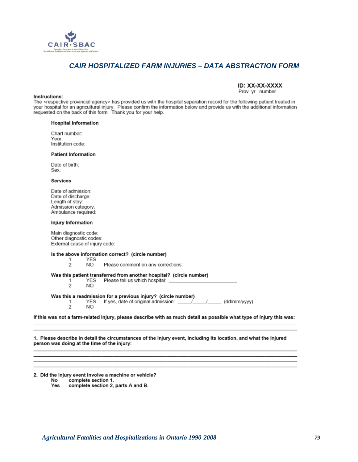

# *CAIR HOSPITALIZED FARM INJURIES – DATA ABSTRACTION FORM*

## ID: XX-XX-XXXX

Prov yr number

Instructions: The <respective provincial agency> has provided us with the hospital separation record for the following patient treated in your hospital for an agricultural injury. Please confirm the information below and provide us with the additional information requested on the back of this form. Thank you for your help.

#### **Hospital Information**

Chart number: Year: Institution code:

#### **Patient Information**

Date of birth: Sex:

#### Services

Date of admission: Date of discharge: Length of stay: Admission category: Ambulance required:

#### Injury Information

Main diagnostic code: Other diagnostic codes: External cause of injury code:

#### Is the above information correct? (circle number)

**YES** 1  $\overline{2}$ NO. Please comment on any corrections: Was this patient transferred from another hospital? (circle number) YES Please tell us which hospital: 1  $\overline{2}$ NO. Was this a readmission for a previous injury? (circle number) YES If yes, date of original admission: \_\_\_/ (dd/mm/yyyy) 1  $\mathfrak{p}$ NO<sub>1</sub>

If this was not a farm-related injury, please describe with as much detail as possible what type of injury this was:

1. Please describe in detail the circumstances of the injury event, including its location, and what the injured person was doing at the time of the injury:

2. Did the injury event involve a machine or vehicle? No complete section 1.

Yes complete section 2, parts A and B.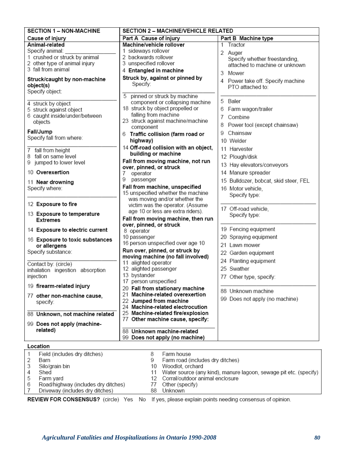| <b>SECTION 1 – NON-MACHINE</b>                                                                                            | <b>SECTION 2 - MACHINE/VEHICLE RELATED</b>                                                                                                                                        |                                                                                                          |  |  |  |
|---------------------------------------------------------------------------------------------------------------------------|-----------------------------------------------------------------------------------------------------------------------------------------------------------------------------------|----------------------------------------------------------------------------------------------------------|--|--|--|
| Cause of injury                                                                                                           | Part A Cause of injury                                                                                                                                                            | Part B Machine type                                                                                      |  |  |  |
| Animal-related<br>Specify animal:<br>1 crushed or struck by animal<br>2 other type of animal injury<br>3 fall from animal | Machine/vehicle rollover<br>1 sideways rollover<br>2 backwards rollover<br>3 unspecified rollover<br>4 Entangled in machine                                                       | Tractor<br>1<br>2 Auger<br>Specify whether freestanding,<br>attached to machine or unknown<br>3<br>Mower |  |  |  |
| Struck/caught by non-machine<br>object(s)<br>Specify object:                                                              | Struck by, against or pinned by<br>Specify:                                                                                                                                       | 4 Power take off. Specify machine<br>PTO attached to:                                                    |  |  |  |
| 4 struck by object<br>5 struck against object<br>6 caught inside/under/between<br>objects                                 | 5<br>pinned or struck by machine<br>component or collapsing machine<br>18 struck by object propelled or<br>falling from machine<br>23 struck against machine/machine<br>component | 5 Baler<br>6<br>Farm wagon/trailer<br>7<br>Combine<br>8<br>Power tool (except chainsaw)                  |  |  |  |
| Fall/Jump<br>Specify fall from where:                                                                                     | 6 Traffic collision (farm road or<br>highway)                                                                                                                                     | Chainsaw<br>9<br>10 Welder                                                                               |  |  |  |
| 7 fall from height<br>8 fall on same level<br>9 jumped to lower level                                                     | 14 Off-road collision with an object,<br>building or machine<br>Fall from moving machine, not run                                                                                 | 11 Harvester<br>12 Plough/disk<br>13 Hay elevators/conveyors                                             |  |  |  |
| 10 Overexertion                                                                                                           | over, pinned, or struck<br>7<br>operator                                                                                                                                          | 14 Manure spreader                                                                                       |  |  |  |
| 11 Near drowning<br>Specify where:                                                                                        | 9<br>passenger<br>Fall from machine, unspecified<br>15 unspecified whether the machine                                                                                            | 15 Bulldozer, bobcat, skid steer, FEL<br>16 Motor vehicle,<br>Specify type:                              |  |  |  |
| 12 Exposure to fire                                                                                                       | was moving and/or whether the<br>victim was the operator. (Assume<br>age 10 or less are extra riders).                                                                            | 17 Off-road vehicle,                                                                                     |  |  |  |
| 13 Exposure to temperature<br><b>Extremes</b>                                                                             | Fall from moving machine, then run<br>over, pinned, or struck                                                                                                                     | Specify type:                                                                                            |  |  |  |
| 14 Exposure to electric current                                                                                           | 8 operator                                                                                                                                                                        | 19 Fencing equipment                                                                                     |  |  |  |
| 16 Exposure to toxic substances<br>or allergens                                                                           | 10 passenger<br>16 person unspecified over age 10                                                                                                                                 | 20 Spraying equipment<br>21 Lawn mower                                                                   |  |  |  |
| Specify substance:                                                                                                        | Run over, pinned, or struck by<br>moving machine (no fall involved)<br>11 alighted operator                                                                                       | 22 Garden equipment<br>24 Planting equipment                                                             |  |  |  |
| Contact by: (circle)<br>inhalation ingestion absorption<br>injection                                                      | 12 alighted passenger<br>13 bystander                                                                                                                                             | 25 Swather<br>77 Other type, specify:                                                                    |  |  |  |
| 19 firearm-related injury                                                                                                 | 17 person unspecified<br>20 Fall from stationary machine                                                                                                                          | 88 Unknown machine                                                                                       |  |  |  |
| 77 other non-machine cause,<br>specify:                                                                                   | 21 Machine-related overexertion<br>22 Jumped from machine<br>24 Machine-related electrocution                                                                                     | 99 Does not apply (no machine)                                                                           |  |  |  |
| 88 Unknown, not machine related                                                                                           | 25 Machine-related fire/explosion<br>77 Other machine cause, specify:                                                                                                             |                                                                                                          |  |  |  |
| 99 Does not apply (machine-<br>related)                                                                                   | 88 Unknown machine-related<br>99 Does not apply (no machine)                                                                                                                      |                                                                                                          |  |  |  |

## Location

|   | Field (includes dry ditches)        |                | Farm house                                                                                                |
|---|-------------------------------------|----------------|-----------------------------------------------------------------------------------------------------------|
|   | Barn                                |                | Farm road (includes dry ditches)                                                                          |
|   | Silo/grain bin                      |                | 10 Woodlot, orchard                                                                                       |
| 4 | Shed                                |                | 11 Water source (any kind), manure lagoon, sewage pit etc. (specify)                                      |
| 5 | Farm vard                           |                | 12 Corral/outdoor animal enclosure                                                                        |
| 6 | Road/highway (includes dry ditches) | $\prime\prime$ | Other (specify)                                                                                           |
|   | Driveway (includes dry ditches)     | 88             | Unknown                                                                                                   |
|   |                                     |                | <b>DEVIEW FOR CONOFHOUOD</b> (similar May Ala Hissae planna contain a city and since accessore of pointer |

REVIEW FOR CONSENSUS? (circle) Yes No If yes, please explain points needing consensus of opinion.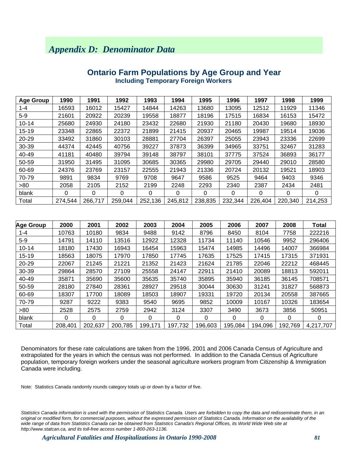# *Appendix D: Denominator Data*

| <b>Age Group</b> | 1990    | 1991    | 1992    | 1993    | 1994    | 1995    | 1996    | 1997     | 1998    | 1999    |
|------------------|---------|---------|---------|---------|---------|---------|---------|----------|---------|---------|
| $1 - 4$          | 16593   | 16012   | 15427   | 14844   | 14263   | 13680   | 13095   | 12512    | 11929   | 11346   |
| $5-9$            | 21601   | 20922   | 20239   | 19558   | 18877   | 18196   | 17515   | 16834    | 16153   | 15472   |
| $10 - 14$        | 25680   | 24930   | 24180   | 23432   | 22680   | 21930   | 21180   | 20430    | 19680   | 18930   |
| 15-19            | 23348   | 22865   | 22372   | 21899   | 21415   | 20937   | 20465   | 19987    | 19514   | 19036   |
| 20-29            | 33492   | 31860   | 30103   | 28881   | 27704   | 26397   | 25055   | 23943    | 23336   | 22699   |
| 30-39            | 44374   | 42445   | 40756   | 39227   | 37873   | 36399   | 34965   | 33751    | 32467   | 31283   |
| 40-49            | 41181   | 40480   | 39794   | 39148   | 38797   | 38101   | 37775   | 37524    | 36893   | 36177   |
| 50-59            | 31950   | 31495   | 31095   | 30685   | 30365   | 29980   | 29705   | 29440    | 29010   | 28580   |
| 60-69            | 24376   | 23769   | 23157   | 22555   | 21943   | 21336   | 20724   | 20132    | 19521   | 18903   |
| 70-79            | 9891    | 9834    | 9769    | 9708    | 9647    | 9586    | 9525    | 9464     | 9403    | 9346    |
| >80              | 2058    | 2105    | 2152    | 2199    | 2248    | 2293    | 2340    | 2387     | 2434    | 2481    |
| blank            | 0       | 0       | 0       | 0       | 0       | 0       | 0       | $\Omega$ | 0       | 0       |
| Total            | 274.544 | 266,717 | 259,044 | 252,136 | 245,812 | 238,835 | 232,344 | 226,404  | 220,340 | 214.253 |

## **Ontario Farm Populations by Age Group and Year Including Temporary Foreign Workers**

| <b>Age Group</b> | 2000    | 2001    | 2002    | 2003    | 2004    | 2005    | 2006    | 2007    | 2008    | <b>Total</b> |
|------------------|---------|---------|---------|---------|---------|---------|---------|---------|---------|--------------|
| $1 - 4$          | 10763   | 10180   | 9834    | 9488    | 9142    | 8796    | 8450    | 8104    | 7758    | 222216       |
| $5-9$            | 14791   | 14110   | 13516   | 12922   | 12328   | 11734   | 11140   | 10546   | 9952    | 296406       |
| $10 - 14$        | 18180   | 17430   | 16943   | 16454   | 15963   | 15474   | 14985   | 14496   | 14007   | 366984       |
| 15-19            | 18563   | 18075   | 17970   | 17850   | 17745   | 17635   | 17525   | 17415   | 17315   | 371931       |
| 20-29            | 22067   | 21245   | 21221   | 21352   | 21423   | 21624   | 21785   | 22046   | 22212   | 468445       |
| 30-39            | 29864   | 28570   | 27109   | 25558   | 24147   | 22911   | 21410   | 20089   | 18813   | 592011       |
| 40-49            | 35871   | 35690   | 35600   | 35635   | 35740   | 35895   | 35940   | 36185   | 36145   | 708571       |
| 50-59            | 28180   | 27840   | 28361   | 28927   | 29518   | 30044   | 30630   | 31241   | 31827   | 568873       |
| 60-69            | 18307   | 17700   | 18089   | 18503   | 18907   | 19331   | 19720   | 20134   | 20558   | 387665       |
| 70-79            | 9287    | 9222    | 9383    | 9540    | 9695    | 9852    | 10009   | 10167   | 10326   | 183654       |
| >80              | 2528    | 2575    | 2759    | 2942    | 3124    | 3307    | 3490    | 3673    | 3856    | 50951        |
| blank            | 0       | 0       | 0       | 0       | 0       | 0       | 0       | 0       | 0       | 0            |
| Total            | 208,401 | 202,637 | 200,785 | 199,171 | 197,732 | 196,603 | 195,084 | 194,096 | 192,769 | 4,217,707    |

Denominators for these rate calculations are taken from the 1996, 2001 and 2006 Canada Census of Agriculture and extrapolated for the years in which the census was not performed. In addition to the Canada Census of Agriculture population, temporary foreign workers under the seasonal agriculture workers program from Citizenship & Immigration Canada were including.

Note: Statistics Canada randomly rounds category totals up or down by a factor of five.

Statistics Canada information is used with the permission of Statistics Canada. Users are forbidden to copy the data and redisseminate them, in an *original or modified form, for commercial purposes, without the expressed permission of Statistics Canada. Information on the availability of the wide range of data from Statistics Canada can be obtained from Statistics Canada's Regional Offices, its World Wide Web site at http://www.statcan.ca, and its toll-free access number 1-800-263-1136.*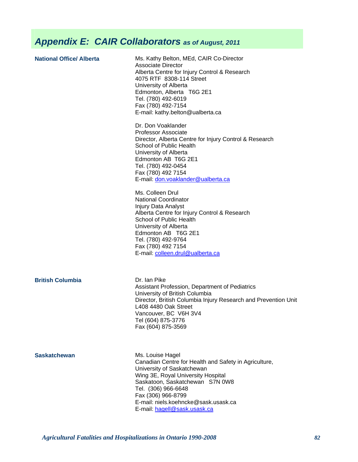# *Appendix E: CAIR Collaborators as of August, 2011*

| <b>National Office/ Alberta</b> | Ms. Kathy Belton, MEd, CAIR Co-Director<br><b>Associate Director</b><br>Alberta Centre for Injury Control & Research<br>4075 RTF 8308-114 Street<br>University of Alberta<br>Edmonton, Alberta T6G 2E1<br>Tel. (780) 492-6019<br>Fax (780) 492-7154<br>E-mail: kathy.belton@ualberta.ca |
|---------------------------------|-----------------------------------------------------------------------------------------------------------------------------------------------------------------------------------------------------------------------------------------------------------------------------------------|
|                                 | Dr. Don Voaklander<br><b>Professor Associate</b><br>Director, Alberta Centre for Injury Control & Research<br>School of Public Health<br>University of Alberta<br>Edmonton AB T6G 2E1<br>Tel. (780) 492-0454<br>Fax (780) 492 7154<br>E-mail: don.voaklander@ualberta.ca                |
|                                 | Ms. Colleen Drul<br><b>National Coordinator</b><br>Injury Data Analyst<br>Alberta Centre for Injury Control & Research<br>School of Public Health<br>University of Alberta<br>Edmonton AB T6G 2E1<br>Tel. (780) 492-9764<br>Fax (780) 492 7154<br>E-mail: colleen.drul@ualberta.ca      |
| <b>British Columbia</b>         | Dr. Ian Pike<br>Assistant Profession, Department of Pediatrics<br>University of British Columbia<br>Director, British Columbia Injury Research and Prevention Unit<br>L408 4480 Oak Street<br>Vancouver, BC V6H 3V4<br>Tel (604) 875-3776<br>Fax (604) 875-3569                         |
| <b>Saskatchewan</b>             | Ms. Louise Hagel<br>Canadian Centre for Health and Safety in Agriculture                                                                                                                                                                                                                |

<sup>c</sup>anadian Centre for Health and Safety in Agriculture, University of Saskatchewan Wing 3E, Royal University Hospital Saskatoon, Saskatchewan S7N 0W8 Tel. (306) 966-6648 Fax (306) 966-8799 E-mail: niels.koehncke@sask.usask.ca E-mail: hagell@sask.usask.ca

*Agricultural Fatalities and Hospitalizations in Ontario 1990-2008 82*